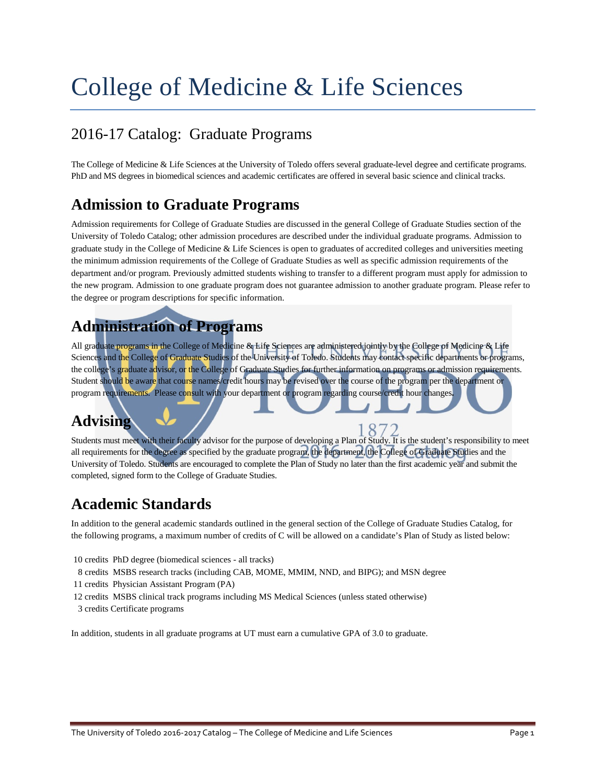# College of Medicine & Life Sciences

# 2016-17 Catalog: Graduate Programs

The College of Medicine & Life Sciences at the University of Toledo offers several graduate-level degree and certificate programs. PhD and MS degrees in biomedical sciences and academic certificates are offered in several basic science and clinical tracks.

## **Admission to Graduate Programs**

Admission requirements for College of Graduate Studies are discussed in the general College of Graduate Studies section of the University of Toledo Catalog; other admission procedures are described under the individual graduate programs. Admission to graduate study in the College of Medicine & Life Sciences is open to graduates of accredited colleges and universities meeting the minimum admission requirements of the College of Graduate Studies as well as specific admission requirements of the department and/or program. Previously admitted students wishing to transfer to a different program must apply for admission to the new program. Admission to one graduate program does not guarantee admission to another graduate program. Please refer to the degree or program descriptions for specific information.

# **Administration of Programs**

All graduate programs in the College of Medicine & Life Sciences are administered jointly by the College of Medicine & Life Sciences and the College of Graduate Studies of the University of Toledo. Students may contact specific departments or programs, the college's graduate advisor, or the College of Graduate Studies for further information on programs or admission requirements. Student should be aware that course names/credit hours may be revised over the course of the program per the department or program requirements. Please consult with your department or program regarding course/credit hour changes**.**

# **Advising**

8 Students must meet with their faculty advisor for the purpose of developing a Plan of Study. It is the student's responsibility to meet all requirements for the degree as specified by the graduate program, the department, the College of Graduate Studies and the University of Toledo. Students are encouraged to complete the Plan of Study no later than the first academic year and submit the completed, signed form to the College of Graduate Studies.

# **Academic Standards**

In addition to the general academic standards outlined in the general section of the College of Graduate Studies Catalog, for the following programs, a maximum number of credits of C will be allowed on a candidate's Plan of Study as listed below:

- 10 credits PhD degree (biomedical sciences all tracks)
- 8 credits MSBS research tracks (including CAB, MOME, MMIM, NND, and BIPG); and MSN degree
- 11 credits Physician Assistant Program (PA)
- 12 credits MSBS clinical track programs including MS Medical Sciences (unless stated otherwise)
- 3 credits Certificate programs

In addition, students in all graduate programs at UT must earn a cumulative GPA of 3.0 to graduate.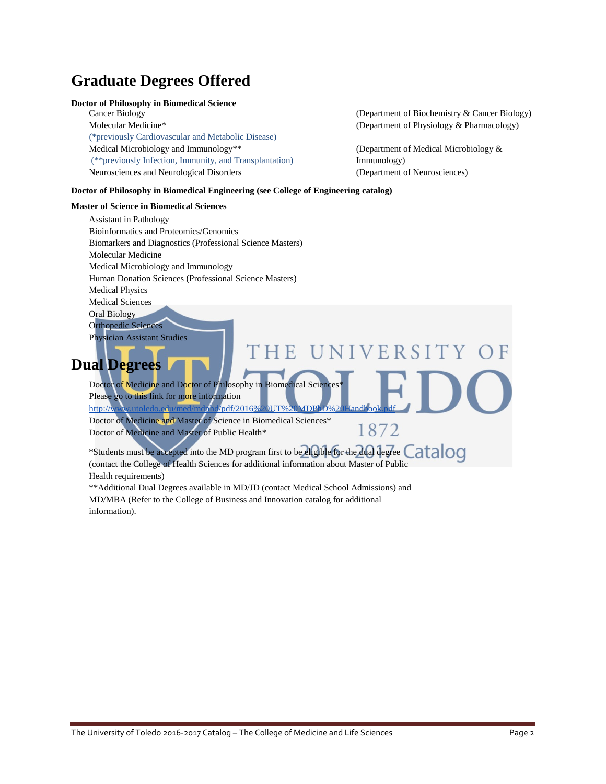# **Graduate Degrees Offered**

# **Doctor of Philosophy in Biomedical Science**

Molecular Medicine\* The Contract of Physiology & Pharmacology & Pharmacology & Pharmacology & Pharmacology & Pharmacology & Pharmacology & Pharmacology & Pharmacology & Pharmacology & Pharmacology & Pharmacology & Pharmaco (\*previously Cardiovascular and Metabolic Disease) Medical Microbiology and Immunology<sup>\*\*</sup> (Department of Medical Microbiology & (\*\*previously Infection, Immunity, and Transplantation) Immunology) Neurosciences and Neurological Disorders (Department of Neurosciences)

(Department of Biochemistry & Cancer Biology)

#### **Doctor of Philosophy in Biomedical Engineering (see College of Engineering catalog)**

#### **Master of Science in Biomedical Sciences**

Assistant in Pathology Bioinformatics and Proteomics/Genomics Biomarkers and Diagnostics (Professional Science Masters) Molecular Medicine Medical Microbiology and Immunology Human Donation Sciences (Professional Science Masters) Medical Physics Medical Sciences Oral Biology Orthopedic Sciences Physician Assistant Studies IVERSITY

### **Dual Degrees**

Doctor of Medicine and Doctor of Philosophy in Biomedical Scienc Please go to this link for more information http://www.utoledo.edu/med/mdphd/pdf/2016%20UT%20MDPhD%2 Doctor of Medicine and Master of Science in Biomedical Sciences\* 1872 Doctor of Medicine and Master of Public Health\*

\*Students must be accepted into the MD program first to be eligible for the dual degree Cataloo (contact the College of Health Sciences for additional information about Master of Public Health requirements)

\*\*Additional Dual Degrees available in MD/JD (contact Medical School Admissions) and MD/MBA (Refer to the College of Business and Innovation catalog for additional information).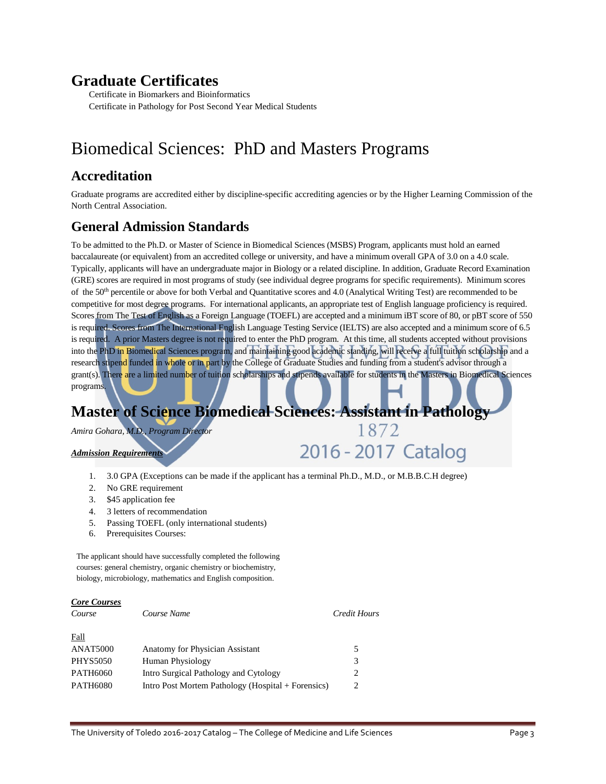### **Graduate Certificates**

Certificate in Biomarkers and Bioinformatics Certificate in Pathology for Post Second Year Medical Students

# Biomedical Sciences: PhD and Masters Programs

### **Accreditation**

Graduate programs are accredited either by discipline-specific accrediting agencies or by the Higher Learning Commission of the North Central Association.

### **General Admission Standards**

To be admitted to the Ph.D. or Master of Science in Biomedical Sciences (MSBS) Program, applicants must hold an earned baccalaureate (or equivalent) from an accredited college or university, and have a minimum overall GPA of 3.0 on a 4.0 scale. Typically, applicants will have an undergraduate major in Biology or a related discipline. In addition, Graduate Record Examination (GRE) scores are required in most programs of study (see individual degree programs for specific requirements). Minimum scores of the 50th percentile or above for both Verbal and Quantitative scores and 4.0 (Analytical Writing Test) are recommended to be competitive for most degree programs. For international applicants, an appropriate test of English language proficiency is required. Scores from The Test of English as a Foreign Language (TOEFL) are accepted and a minimum iBT score of 80, or pBT score of 550 is required. Scores from The International English Language Testing Service (IELTS) are also accepted and a minimum score of 6.5 is required. A prior Masters degree is not required to enter the PhD program. At this time, all students accepted without provisions into the PhD in Biomedical Sciences program, and maintaining good academic standing, will receive a full tuition scholarship and a research stipend funded in whole or in part by the College of Graduate Studies and funding from a student's advisor through a grant(s). There are a limited number of tuition scholarships and stipends available for students in the Masters in Biomedical Sciences programs.

### **Master of Science Biomedical Sciences: Assistant in Pathology** 1872 *Amira Gohara, M.D., Program Director* 2016 - 2017 Catalog *Admission Requirements*

- 1. 3.0 GPA (Exceptions can be made if the applicant has a terminal Ph.D., M.D., or M.B.B.C.H degree)
- 2. No GRE requirement
- 3. \$45 application fee
- 4. 3 letters of recommendation
- 5. Passing TOEFL (only international students)
- 6. Prerequisites Courses:

The applicant should have successfully completed the following courses: general chemistry, organic chemistry or biochemistry, biology, microbiology, mathematics and English composition.

| <b>Core Courses</b> |                                                    |              |
|---------------------|----------------------------------------------------|--------------|
| Course              | Course Name                                        | Credit Hours |
| <b>Fall</b>         |                                                    |              |
| <b>ANAT5000</b>     | Anatomy for Physician Assistant                    | 5            |
| <b>PHYS5050</b>     | Human Physiology                                   | 3            |
| <b>PATH6060</b>     | Intro Surgical Pathology and Cytology              | 2            |
| <b>PATH6080</b>     | Intro Post Mortem Pathology (Hospital + Forensics) | 2            |
|                     |                                                    |              |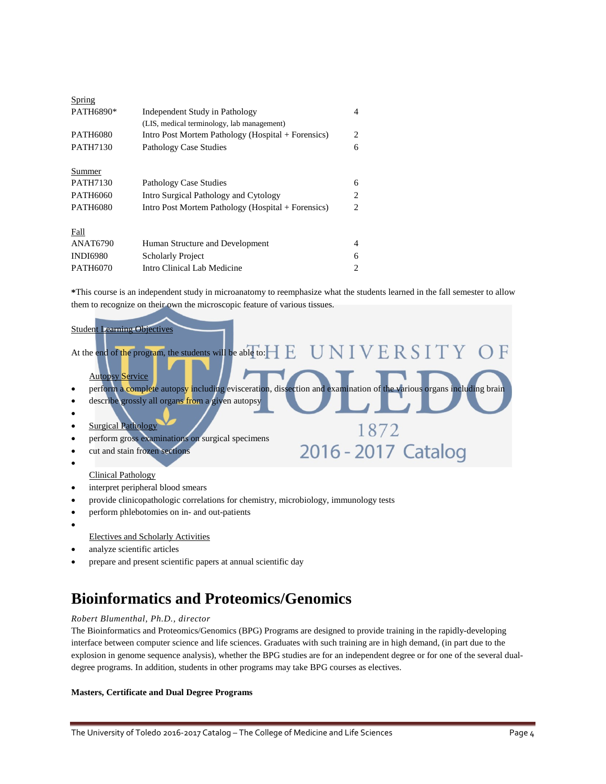| Spring          |                                                    |                |
|-----------------|----------------------------------------------------|----------------|
| PATH6890*       | Independent Study in Pathology                     | 4              |
|                 | (LIS, medical terminology, lab management)         |                |
| <b>PATH6080</b> | Intro Post Mortem Pathology (Hospital + Forensics) | $\overline{c}$ |
| <b>PATH7130</b> | Pathology Case Studies                             | 6              |
| Summer          |                                                    |                |
| <b>PATH7130</b> | Pathology Case Studies                             | 6              |
| <b>PATH6060</b> | Intro Surgical Pathology and Cytology              | 2              |
| <b>PATH6080</b> | Intro Post Mortem Pathology (Hospital + Forensics) | 2              |
| Fall            |                                                    |                |
| <b>ANAT6790</b> | Human Structure and Development                    | 4              |
| <b>INDI6980</b> | <b>Scholarly Project</b>                           | 6              |
| <b>PATH6070</b> | Intro Clinical Lab Medicine                        | 2              |

**\***This course is an independent study in microanatomy to reemphasize what the students learned in the fall semester to allow them to recognize on their own the microscopic feature of various tissues.

#### Student Learning Objectives

| At the end of the program, the students will be able to: $\blacksquare$                                                                       |  |  |
|-----------------------------------------------------------------------------------------------------------------------------------------------|--|--|
| <b>Autopsy Service</b><br>perform a complete autopsy including evisceration, dissection and examination of the various organs including brain |  |  |
| describe grossly all organs from a given autopsy                                                                                              |  |  |

1872<br>2016 - 2017 Catalog

- describe grossly all organs from a given autopsy
- •
- **Surgical Pathology**
- perform gross examinations on surgical specimens
- cut and stain frozen sections •

Clinical Pathology

- interpret peripheral blood smears
- provide clinicopathologic correlations for chemistry, microbiology, immunology tests
- perform phlebotomies on in- and out-patients
- •

#### Electives and Scholarly Activities

- analyze scientific articles
- prepare and present scientific papers at annual scientific day

# **Bioinformatics and Proteomics/Genomics**

#### *Robert Blumenthal, Ph.D., director*

The Bioinformatics and Proteomics/Genomics (BPG) Programs are designed to provide training in the rapidly-developing interface between computer science and life sciences. Graduates with such training are in high demand, (in part due to the explosion in genome sequence analysis), whether the BPG studies are for an independent degree or for one of the several dualdegree programs. In addition, students in other programs may take BPG courses as electives.

#### **Masters, Certificate and Dual Degree Programs**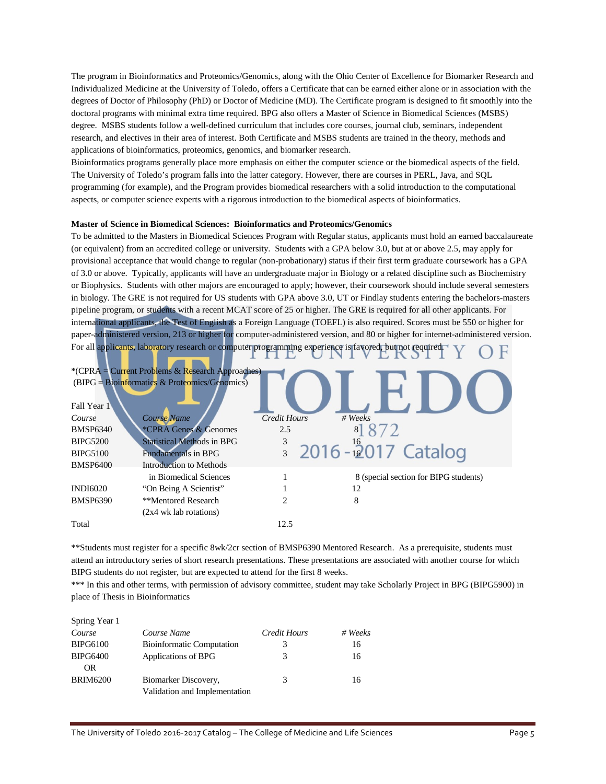The program in Bioinformatics and Proteomics/Genomics, along with the Ohio Center of Excellence for Biomarker Research and Individualized Medicine at the University of Toledo, offers a Certificate that can be earned either alone or in association with the degrees of Doctor of Philosophy (PhD) or Doctor of Medicine (MD). The Certificate program is designed to fit smoothly into the doctoral programs with minimal extra time required. BPG also offers a Master of Science in Biomedical Sciences (MSBS) degree. MSBS students follow a well-defined curriculum that includes core courses, journal club, seminars, independent research, and electives in their area of interest. Both Certificate and MSBS students are trained in the theory, methods and applications of bioinformatics, proteomics, genomics, and biomarker research.

Bioinformatics programs generally place more emphasis on either the computer science or the biomedical aspects of the field. The University of Toledo's program falls into the latter category. However, there are courses in PERL, Java, and SQL programming (for example), and the Program provides biomedical researchers with a solid introduction to the computational aspects, or computer science experts with a rigorous introduction to the biomedical aspects of bioinformatics.

#### **Master of Science in Biomedical Sciences: Bioinformatics and Proteomics/Genomics**

To be admitted to the Masters in Biomedical Sciences Program with Regular status, applicants must hold an earned baccalaureate (or equivalent) from an accredited college or university. Students with a GPA below 3.0, but at or above 2.5, may apply for provisional acceptance that would change to regular (non-probationary) status if their first term graduate coursework has a GPA of 3.0 or above. Typically, applicants will have an undergraduate major in Biology or a related discipline such as Biochemistry or Biophysics. Students with other majors are encouraged to apply; however, their coursework should include several semesters in biology. The GRE is not required for US students with GPA above 3.0, UT or Findlay students entering the bachelors-masters pipeline program, or students with a recent MCAT score of 25 or higher. The GRE is required for all other applicants. For international applicants, the Test of English as a Foreign Language (TOEFL) is also required. Scores must be 550 or higher for paper-administered version, 213 or higher for computer-administered version, and 80 or higher for internet-administered version. For all applicants, laboratory research or computer programming experience is favored, but not required.

|                 | *(CPRA = Current Problems & Research Approaches)<br>$(BIPG = Bioinformatics & Proteomics/Genomics)$ |                               |                                       |
|-----------------|-----------------------------------------------------------------------------------------------------|-------------------------------|---------------------------------------|
| Fall Year 1     |                                                                                                     |                               |                                       |
| Course          | Course Name                                                                                         | <b>Credit Hours</b>           | $# \nWeeks$                           |
| <b>BMSP6340</b> | *CPRA Genes & Genomes                                                                               | 2.5                           | $\sqrt{8}$                            |
| <b>BIPG5200</b> | <b>Statistical Methods in BPG</b>                                                                   | 3                             |                                       |
| <b>BIPG5100</b> | <b>Fundamentals in BPG</b>                                                                          | $\overline{3}$                | 2016 - 12017 Catalog                  |
| <b>BMSP6400</b> | Introduction to Methods                                                                             |                               |                                       |
|                 | in Biomedical Sciences                                                                              |                               | 8 (special section for BIPG students) |
| <b>INDI6020</b> | "On Being A Scientist"                                                                              |                               | 12                                    |
| <b>BMSP6390</b> | **Mentored Research                                                                                 | $\mathfrak{D}_{\mathfrak{p}}$ | 8                                     |
|                 | $(2x4)$ wk lab rotations)                                                                           |                               |                                       |
| Total           |                                                                                                     | 12.5                          |                                       |

\*\*Students must register for a specific 8wk/2cr section of BMSP6390 Mentored Research. As a prerequisite, students must attend an introductory series of short research presentations. These presentations are associated with another course for which BIPG students do not register, but are expected to attend for the first 8 weeks.

\*\*\* In this and other terms, with permission of advisory committee, student may take Scholarly Project in BPG (BIPG5900) in place of Thesis in Bioinformatics

| Course Name                      | Credit Hours | $# \nWeeks$ |
|----------------------------------|--------------|-------------|
| <b>Bioinformatic Computation</b> | 3            | 16          |
| Applications of BPG              | 3            | 16          |
|                                  |              |             |
| Biomarker Discovery,             | 3            | 16          |
| Validation and Implementation    |              |             |
|                                  |              |             |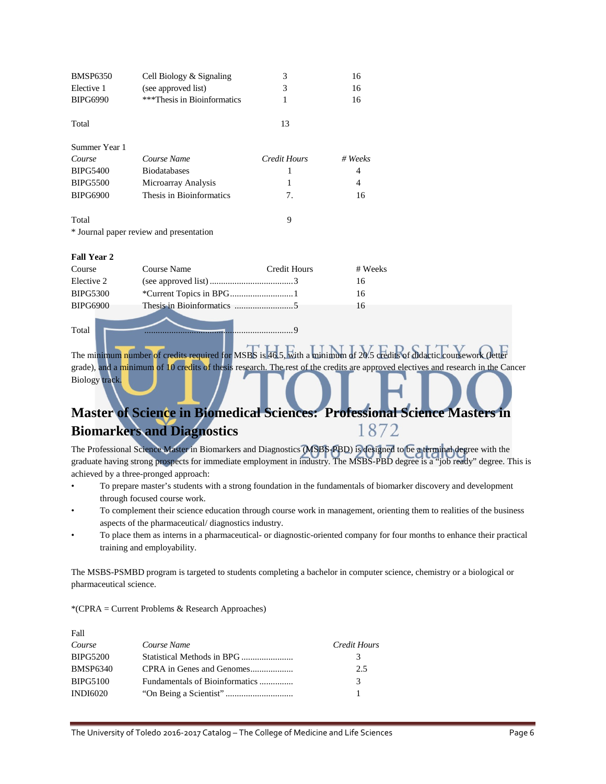| <b>BMSP6350</b>    | Cell Biology & Signaling                | 3                   | 16          |  |
|--------------------|-----------------------------------------|---------------------|-------------|--|
| Elective 1         | (see approved list)                     | 3                   | 16          |  |
| <b>BIPG6990</b>    | ***Thesis in Bioinformatics             | 1                   | 16          |  |
|                    |                                         |                     |             |  |
| Total              |                                         | 13                  |             |  |
|                    |                                         |                     |             |  |
| Summer Year 1      |                                         |                     |             |  |
| Course             | Course Name                             | Credit Hours        | $# \nWeeks$ |  |
| <b>BIPG5400</b>    | <b>Biodatabases</b>                     | 1                   | 4           |  |
| <b>BIPG5500</b>    | Microarray Analysis                     | 1                   | 4           |  |
| <b>BIPG6900</b>    | Thesis in Bioinformatics                | 7.                  | 16          |  |
|                    |                                         |                     |             |  |
| Total              |                                         | 9                   |             |  |
|                    | * Journal paper review and presentation |                     |             |  |
|                    |                                         |                     |             |  |
| <b>Fall Year 2</b> |                                         |                     |             |  |
| Course             | Course Name                             | <b>Credit Hours</b> | # Weeks     |  |
| Elective 2         |                                         |                     | 16          |  |
| <b>BIPG5300</b>    |                                         |                     | 16          |  |
| <b>BIPG6900</b>    |                                         |                     | 16          |  |
|                    |                                         |                     |             |  |
| Total              |                                         |                     |             |  |
|                    |                                         |                     |             |  |

The minimum number of credits required for MSBS is 46.5, with a minimum of 20.5 credits of didactic coursework (letter grade), and a minimum of 10 credits of thesis research. The rest of the credits are approved electives and research in the Cancer Biology track.

#### **Master of Science in Biomedical Sciences: Professional Science Masters in**  1872 **Biomarkers and Diagnostics**

The Professional Science Master in Biomarkers and Diagnostics (MSBS-PBD) is designed to be a terminal degree with the graduate having strong prospects for immediate employment in industry. The MSBS-PBD degree is a "job ready" degree. This is achieved by a three-pronged approach:

- To prepare master's students with a strong foundation in the fundamentals of biomarker discovery and development through focused course work.
- To complement their science education through course work in management, orienting them to realities of the business aspects of the pharmaceutical/ diagnostics industry.
- To place them as interns in a pharmaceutical- or diagnostic-oriented company for four months to enhance their practical training and employability.

The MSBS-PSMBD program is targeted to students completing a bachelor in computer science, chemistry or a biological or pharmaceutical science.

\*(CPRA = Current Problems & Research Approaches)

| Fall            |                                |              |
|-----------------|--------------------------------|--------------|
| Course          | Course Name                    | Credit Hours |
| <b>BIPG5200</b> |                                | 3            |
| <b>BMSP6340</b> | CPRA in Genes and Genomes      | 2.5          |
| BIPG5100        | Fundamentals of Bioinformatics | 3            |
| <b>INDI6020</b> |                                |              |
|                 |                                |              |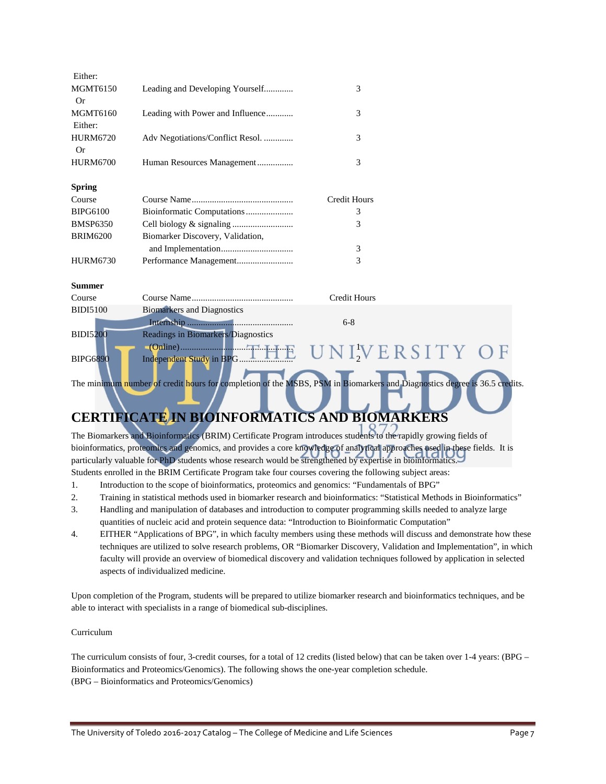| Either:               |                                    |                     |
|-----------------------|------------------------------------|---------------------|
| <b>MGMT6150</b>       | Leading and Developing Yourself    | 3                   |
| <b>Or</b>             |                                    |                     |
| MGMT6160              | Leading with Power and Influence   | 3                   |
| Either:               |                                    |                     |
| <b>HURM6720</b><br>Or | Adv Negotiations/Conflict Resol.   | 3                   |
| <b>HURM6700</b>       | Human Resources Management         | 3                   |
| <b>Spring</b>         |                                    |                     |
| Course                |                                    | <b>Credit Hours</b> |
| <b>BIPG6100</b>       |                                    | 3                   |
| <b>BMSP6350</b>       |                                    | 3                   |
| <b>BRIM6200</b>       | Biomarker Discovery, Validation,   |                     |
|                       |                                    | 3                   |
| <b>HURM6730</b>       |                                    | 3                   |
| <b>Summer</b>         |                                    |                     |
| Course                |                                    | <b>Credit Hours</b> |
| <b>BIDI5100</b>       | <b>Biomarkers and Diagnostics</b>  |                     |
|                       |                                    | $6 - 8$             |
| <b>BIDI5200</b>       | Readings in Biomarkers/Diagnostics |                     |
|                       |                                    |                     |
| <b>BIPG6890</b>       | Independent Study in BPG           | UNIVERSITY OF       |
|                       |                                    |                     |

The minimum number of credit hours for completion of the MSBS, PSM in Biomarkers and Diagnostics degree is 36.5 credits.

# **CERTIFICATE IN BIOINFORMATICS AND BIOMARKERS**

The Biomarkers and Bioinformatics (BRIM) Certificate Program introduces students to the rapidly growing fields of bioinformatics, proteomics and genomics, and provides a core knowledge of analytical approaches used in these fields. It is particularly valuable for PhD students whose research would be strengthened by expertise in bioinformatics.

- Students enrolled in the BRIM Certificate Program take four courses covering the following subject areas:
- 1. Introduction to the scope of bioinformatics, proteomics and genomics: "Fundamentals of BPG"
- 2. Training in statistical methods used in biomarker research and bioinformatics: "Statistical Methods in Bioinformatics"
- 3. Handling and manipulation of databases and introduction to computer programming skills needed to analyze large quantities of nucleic acid and protein sequence data: "Introduction to Bioinformatic Computation"
- 4. EITHER "Applications of BPG", in which faculty members using these methods will discuss and demonstrate how these techniques are utilized to solve research problems, OR "Biomarker Discovery, Validation and Implementation", in which faculty will provide an overview of biomedical discovery and validation techniques followed by application in selected aspects of individualized medicine.

Upon completion of the Program, students will be prepared to utilize biomarker research and bioinformatics techniques, and be able to interact with specialists in a range of biomedical sub-disciplines.

#### Curriculum

The curriculum consists of four, 3-credit courses, for a total of 12 credits (listed below) that can be taken over 1-4 years: (BPG – Bioinformatics and Proteomics/Genomics). The following shows the one-year completion schedule. (BPG – Bioinformatics and Proteomics/Genomics)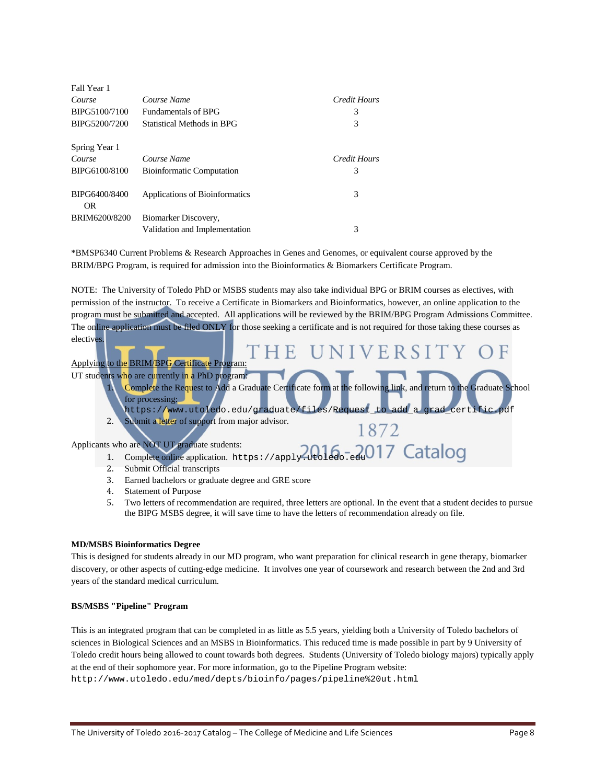| Fall Year 1                |                                  |              |
|----------------------------|----------------------------------|--------------|
| Course                     | Course Name                      | Credit Hours |
| BIPG5100/7100              | <b>Fundamentals of BPG</b>       | 3            |
| BIPG5200/7200              | Statistical Methods in BPG       | 3            |
| Spring Year 1              |                                  |              |
| Course                     | Course Name                      | Credit Hours |
| BIPG6100/8100              | <b>Bioinformatic Computation</b> | 3            |
| BIPG6400/8400<br><b>OR</b> | Applications of Bioinformatics   | 3            |
| BRIM6200/8200              | Biomarker Discovery.             |              |
|                            | Validation and Implementation    | 3            |

\*BMSP6340 Current Problems & Research Approaches in Genes and Genomes, or equivalent course approved by the BRIM/BPG Program, is required for admission into the Bioinformatics & Biomarkers Certificate Program.

NOTE: The University of Toledo PhD or MSBS students may also take individual BPG or BRIM courses as electives, with permission of the instructor. To receive a Certificate in Biomarkers and Bioinformatics, however, an online application to the program must be submitted and accepted. All applications will be reviewed by the BRIM/BPG Program Admissions Committee. The online application must be filed ONLY for those seeking a certificate and is not required for those taking these courses as electives.

### Applying to the BRIM/BPG Certificate Program:

UT students who are currently in a PhD program: Complete the Request to Add a Graduate Certificate form at the following link, and return to the Graduate School for processing: [https://www.utoledo.edu/graduate/files/Request\\_to\\_add\\_a\\_grad\\_certific.pdf](https://www.utoledo.edu/graduate/files/Request_to_add_a_grad_certific.pdf) 2. Submit a letter of support from major advisor. 1872

Applicants who are NOT UT graduate students: 1. Complete online application. [https://apply.utoledo.edu](https://apply.utoledo.edu/)017 Catalog

- 2. Submit Official transcripts
- 3. Earned bachelors or graduate degree and GRE score
- 4. Statement of Purpose
- 5. Two letters of recommendation are required, three letters are optional. In the event that a student decides to pursue the BIPG MSBS degree, it will save time to have the letters of recommendation already on file.

#### **MD/MSBS Bioinformatics Degree**

This is designed for students already in our MD program, who want preparation for clinical research in gene therapy, biomarker discovery, or other aspects of cutting-edge medicine. It involves one year of coursework and research between the 2nd and 3rd years of the standard medical curriculum.

#### **BS/MSBS "Pipeline" Program**

This is an integrated program that can be completed in as little as 5.5 years, yielding both a University of Toledo bachelors of sciences in Biological Sciences and an MSBS in Bioinformatics. This reduced time is made possible in part by 9 University of Toledo credit hours being allowed to count towards both degrees. Students (University of Toledo biology majors) typically apply at the end of their sophomore year. For more information, go to the Pipeline Program website:

<http://www.utoledo.edu/med/depts/bioinfo/pages/pipeline%20ut.html>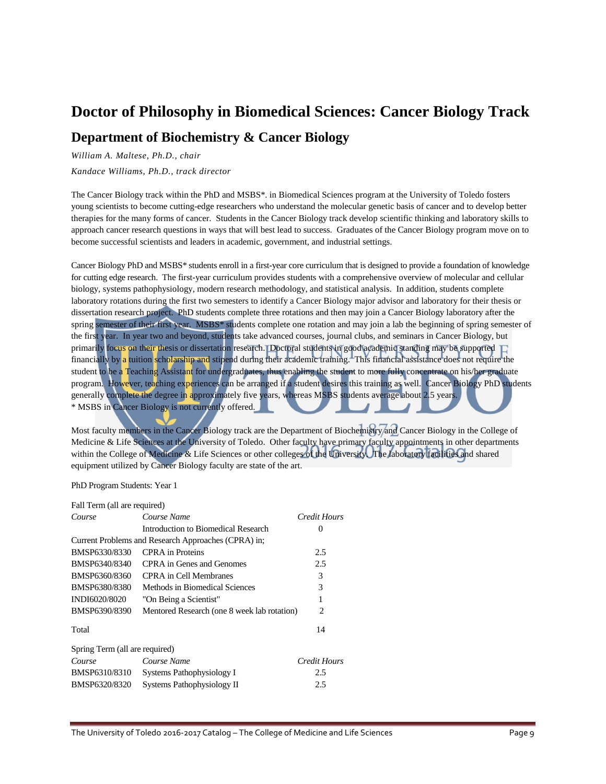# **Doctor of Philosophy in Biomedical Sciences: Cancer Biology Track Department of Biochemistry & Cancer Biology**

*William A. Maltese, Ph.D., chair*

*Kandace Williams, Ph.D., track director*

The Cancer Biology track within the PhD and MSBS\*. in Biomedical Sciences program at the University of Toledo fosters young scientists to become cutting-edge researchers who understand the molecular genetic basis of cancer and to develop better therapies for the many forms of cancer. Students in the Cancer Biology track develop scientific thinking and laboratory skills to approach cancer research questions in ways that will best lead to success. Graduates of the Cancer Biology program move on to become successful scientists and leaders in academic, government, and industrial settings.

Cancer Biology PhD and MSBS\* students enroll in a first-year core curriculum that is designed to provide a foundation of knowledge for cutting edge research. The first-year curriculum provides students with a comprehensive overview of molecular and cellular biology, systems pathophysiology, modern research methodology, and statistical analysis. In addition, students complete laboratory rotations during the first two semesters to identify a Cancer Biology major advisor and laboratory for their thesis or dissertation research project. PhD students complete three rotations and then may join a Cancer Biology laboratory after the spring semester of their first year. MSBS\* students complete one rotation and may join a lab the beginning of spring semester of the first year. In year two and beyond, students take advanced courses, journal clubs, and seminars in Cancer Biology, but primarily focus on their thesis or dissertation research. Doctoral students in good academic standing may be supported  $\Box$ financially by a tuition scholarship and stipend during their academic training. This financial assistance does not require the student to be a Teaching Assistant for undergraduates, thus enabling the student to more fully concentrate on his/her graduate program. However, teaching experiences can be arranged if a student desires this training as well. Cancer Biology PhD students generally complete the degree in approximately five years, whereas MSBS students average about 2.5 years. \* MSBS in Cancer Biology is not currently offered.

Most faculty members in the Cancer Biology track are the Department of Biochemistry and Cancer Biology in the College of Medicine & Life Sciences at the University of Toledo. Other faculty have primary faculty appointments in other departments within the College of Medicine & Life Sciences or other colleges of the University. The laboratory facilities and shared equipment utilized by Cancer Biology faculty are state of the art.

PhD Program Students: Year 1

| Fall Term (all are required)   |                                                     |              |
|--------------------------------|-----------------------------------------------------|--------------|
| Course                         | Course Name                                         | Credit Hours |
|                                | Introduction to Biomedical Research                 | 0            |
|                                | Current Problems and Research Approaches (CPRA) in; |              |
| BMSP6330/8330                  | <b>CPRA</b> in Proteins                             | 2.5          |
| BMSP6340/8340                  | CPRA in Genes and Genomes                           | 2.5          |
| BMSP6360/8360                  | CPRA in Cell Membranes                              | 3            |
| BMSP6380/8380                  | Methods in Biomedical Sciences                      | 3            |
| INDI6020/8020                  | "On Being a Scientist"                              | 1            |
| BMSP6390/8390                  | Mentored Research (one 8 week lab rotation)         | 2            |
| Total                          |                                                     | 14           |
| Spring Term (all are required) |                                                     |              |
| Course                         | Course Name                                         | Credit Hours |
| BMSP6310/8310                  | Systems Pathophysiology I                           | 2.5          |
| BMSP6320/8320                  | Systems Pathophysiology II                          | 2.5          |
|                                |                                                     |              |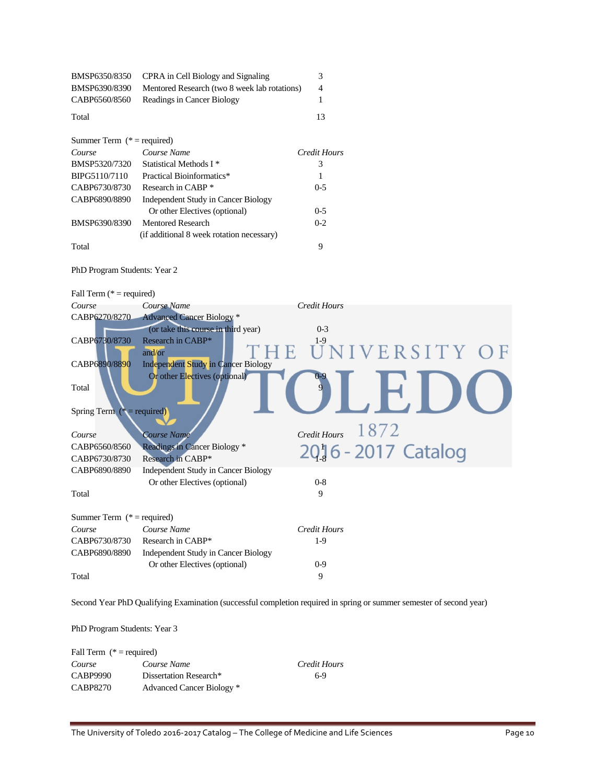| BMSP6350/8350                | CPRA in Cell Biology and Signaling           | 3            |
|------------------------------|----------------------------------------------|--------------|
| BMSP6390/8390                | Mentored Research (two 8 week lab rotations) | 4            |
| CABP6560/8560                | Readings in Cancer Biology                   | 1            |
| Total                        |                                              | 13           |
| Summer Term $(* = required)$ |                                              |              |
| Course                       | Course Name                                  | Credit Hours |
| BMSP5320/7320                | Statistical Methods I <sup>*</sup>           | 3            |
| BIPG5110/7110                | Practical Bioinformatics*                    |              |
| CABP6730/8730                | Research in CABP *                           | $0 - 5$      |
| CABP6890/8890                | Independent Study in Cancer Biology          |              |
|                              | Or other Electives (optional)                | $0 - 5$      |
| BMSP6390/8390                | Mentored Research                            | $0 - 2$      |
|                              | (if additional 8 week rotation necessary)    |              |
| Total                        |                                              | 9            |

PhD Program Students: Year 2



| Course                        | Course Name                                | <b>Credit Hours</b> |
|-------------------------------|--------------------------------------------|---------------------|
| CABP6270/8270                 | <b>Advanced Cancer Biology</b> *           |                     |
|                               | (or take this course in third year)        | $0 - 3$             |
| CABP6730/8730                 | Research in CABP*<br>and/or                | THE UNIVERSITY OF   |
| CABP6890/8890                 | Independent Study in Cancer Biology        |                     |
| Total                         | Or other Electives (optional)              | g                   |
| Spring Term $(* = required)$  |                                            |                     |
|                               |                                            | 1872                |
| Course                        | <b>Course Name</b>                         | Credit Hours        |
| CABP6560/8560                 | Readings in Cancer Biology *               | 2016 - 2017 Catalog |
| CABP6730/8730                 | Research in CABP*                          |                     |
| CABP6890/8890                 | <b>Independent Study in Cancer Biology</b> |                     |
|                               | Or other Electives (optional)              | $0 - 8$             |
| Total                         |                                            | 9                   |
|                               |                                            |                     |
| Summer Term $(*)$ = required) |                                            |                     |
| Course                        | Course Name                                | <b>Credit Hours</b> |
| CABP6730/8730                 | Research in CABP*                          | $1-9$               |
| CABP6890/8890                 | Independent Study in Cancer Biology        |                     |
|                               | Or other Electives (optional)              | $0 - 9$             |
| Total                         |                                            | 9                   |
|                               |                                            |                     |

Second Year PhD Qualifying Examination (successful completion required in spring or summer semester of second year)

PhD Program Students: Year 3

| Fall Term $(* = required)$ |                           |              |
|----------------------------|---------------------------|--------------|
| Course                     | Course Name               | Credit Hours |
| CABP9990                   | Dissertation Research*    | 6-9          |
| CABP8270                   | Advanced Cancer Biology * |              |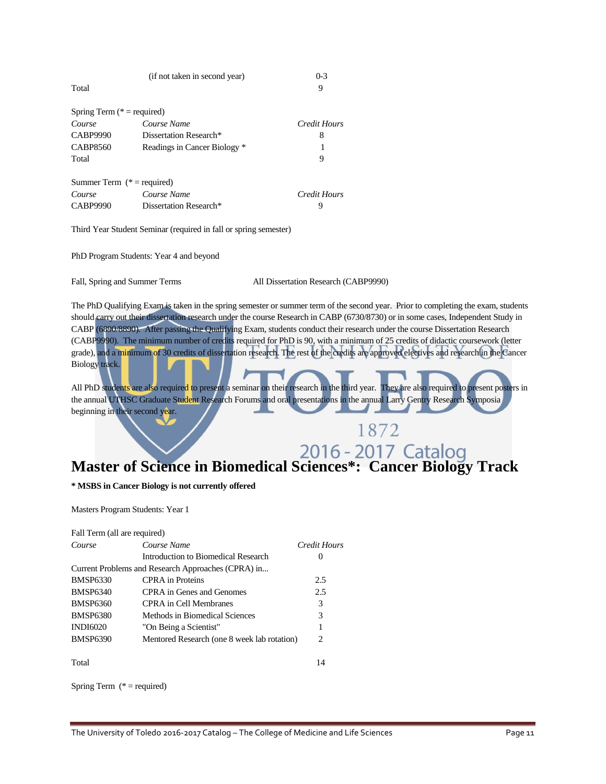| (if not taken in second year) | $0 - 3$                                                       |
|-------------------------------|---------------------------------------------------------------|
|                               | 9                                                             |
|                               |                                                               |
| Course Name                   | Credit Hours                                                  |
| Dissertation Research*        | 8                                                             |
| Readings in Cancer Biology *  |                                                               |
|                               | 9                                                             |
|                               |                                                               |
| Course Name                   | Credit Hours                                                  |
| Dissertation Research*        | 9                                                             |
|                               | Spring Term $(* = required)$<br>Summer Term $(*)$ = required) |

Third Year Student Seminar (required in fall or spring semester)

PhD Program Students: Year 4 and beyond

Fall, Spring and Summer Terms All Dissertation Research (CABP9990)

The PhD Qualifying Exam is taken in the spring semester or summer term of the second year. Prior to completing the exam, students should carry out their dissertation research under the course Research in CABP (6730/8730) or in some cases, Independent Study in CABP (6890/8890). After passing the Qualifying Exam, students conduct their research under the course Dissertation Research (CABP9990). The minimum number of credits required for PhD is 90, with a minimum of 25 credits of didactic coursework (letter grade), and a minimum of 30 credits of dissertation research. The rest of the credits are approved electives and research in the Cancer Biology track.

All PhD students are also required to present a seminar on their research in the third year. They are also required to present posters in the annual UTHSC Graduate Student Research Forums and oral presentations in the annual Larry Gentry Research Symposia beginning in their second year.

1872

# **Master of Science in Biomedical Sciences\*: Cancer Biology Track**

**\* MSBS in Cancer Biology is not currently offered**

Masters Program Students: Year 1

Fall Term (all are required)

| Course          | Course Name                                        | Credit Hours |
|-----------------|----------------------------------------------------|--------------|
|                 | Introduction to Biomedical Research                | $\theta$     |
|                 | Current Problems and Research Approaches (CPRA) in |              |
| <b>BMSP6330</b> | <b>CPRA</b> in Proteins                            | 2.5          |
| <b>BMSP6340</b> | CPRA in Genes and Genomes                          | 2.5          |
| <b>BMSP6360</b> | CPRA in Cell Membranes                             | 3            |
| <b>BMSP6380</b> | Methods in Biomedical Sciences                     | 3            |
| <b>INDI6020</b> | "On Being a Scientist"                             | 1            |
| <b>BMSP6390</b> | Mentored Research (one 8 week lab rotation)        | 2            |
| Total           |                                                    | 14           |

Spring Term (\* = required)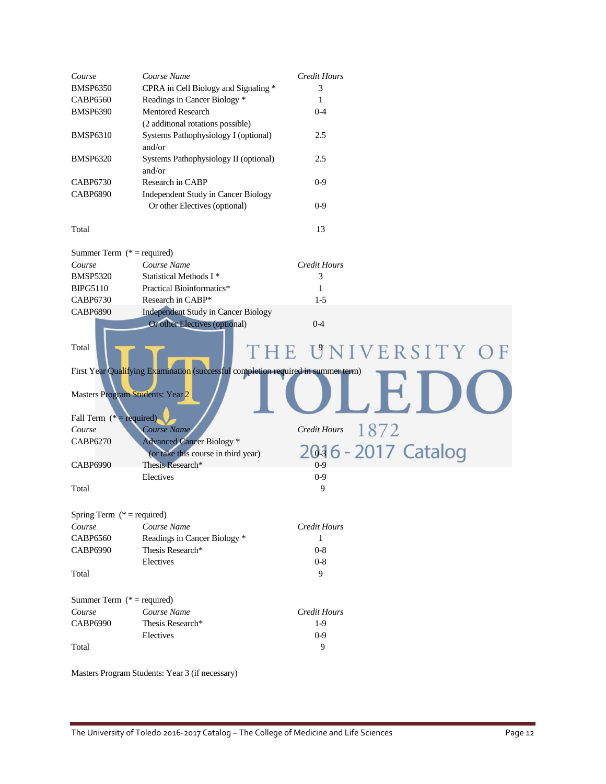| Course                           | Course Name                                                                       | Credit Hours         |
|----------------------------------|-----------------------------------------------------------------------------------|----------------------|
| <b>BMSP6350</b>                  | CPRA in Cell Biology and Signaling *                                              | 3                    |
| <b>CABP6560</b>                  | Readings in Cancer Biology *                                                      | 1                    |
| <b>BMSP6390</b>                  | Mentored Research                                                                 | $0 - 4$              |
|                                  | (2 additional rotations possible)                                                 |                      |
| <b>BMSP6310</b>                  | Systems Pathophysiology I (optional)                                              | 2.5                  |
|                                  | and/or                                                                            |                      |
| <b>BMSP6320</b>                  | Systems Pathophysiology II (optional)                                             | 2.5                  |
|                                  | and/or                                                                            |                      |
| <b>CABP6730</b>                  | Research in CABP                                                                  | $0-9$                |
| <b>CABP6890</b>                  | Independent Study in Cancer Biology                                               |                      |
|                                  | Or other Electives (optional)                                                     | $0-9$                |
|                                  |                                                                                   |                      |
| Total                            |                                                                                   | 13                   |
|                                  |                                                                                   |                      |
| Summer Term $(* = required)$     |                                                                                   |                      |
| Course                           | Course Name                                                                       | <b>Credit Hours</b>  |
| <b>BMSP5320</b>                  | Statistical Methods I*                                                            | 3                    |
| <b>BIPG5110</b>                  | Practical Bioinformatics*                                                         | 1                    |
| <b>CABP6730</b>                  | Research in CABP*                                                                 | $1 - 5$              |
| <b>CABP6890</b>                  | <b>Independent Study in Cancer Biology</b>                                        |                      |
|                                  | Or other Electives (optional)                                                     | $0 - 4$              |
|                                  |                                                                                   |                      |
| Total                            |                                                                                   |                      |
|                                  |                                                                                   | E UNIVERSITY OF      |
|                                  | First Year Qualifying Examination (successful completion required in summer term) |                      |
|                                  |                                                                                   |                      |
| Masters Program Students: Year 2 |                                                                                   |                      |
|                                  |                                                                                   |                      |
| Fall Term $(* = required)$       |                                                                                   |                      |
| Course                           | Course Name                                                                       | 1872<br>Credit Hours |
| <b>CABP6270</b>                  | <b>Advanced Cancer Biology *</b>                                                  |                      |
|                                  | (or take this course in third year)                                               | 2016 - 2017 Catalog  |
| CABP6990                         | Thesis Research*                                                                  | $0-9$                |
|                                  | Electives                                                                         | $0 - 9$              |
| Total                            |                                                                                   | 9                    |
|                                  |                                                                                   |                      |
| Spring Term $(* = required)$     |                                                                                   |                      |
| Course                           | Course Name                                                                       | <b>Credit Hours</b>  |
| <b>CABP6560</b>                  | Readings in Cancer Biology *                                                      | 1                    |
| <b>CABP6990</b>                  | Thesis Research*                                                                  | $0-8$                |
|                                  | Electives                                                                         | $0-8$                |
| Total                            |                                                                                   |                      |
|                                  |                                                                                   | 9                    |
|                                  |                                                                                   |                      |
|                                  |                                                                                   |                      |
| Summer Term ( $*$ = required)    |                                                                                   |                      |
| Course                           | Course Name                                                                       | Credit Hours         |
| <b>CABP6990</b>                  | Thesis Research*                                                                  | $1-9$                |
|                                  | Electives                                                                         | $0 - 9$              |
| Total                            |                                                                                   | 9                    |

Masters Program Students: Year 3 (if necessary)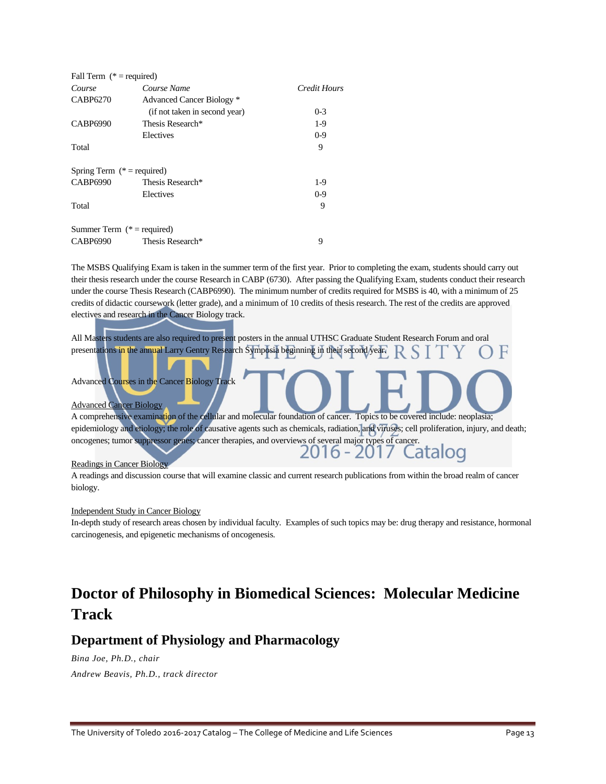| Fall Term $(* = required)$   |                               |              |
|------------------------------|-------------------------------|--------------|
| Course                       | Course Name                   | Credit Hours |
| CABP6270                     | Advanced Cancer Biology *     |              |
|                              | (if not taken in second year) | $0 - 3$      |
| <b>CABP6990</b>              | Thesis Research*              | $1-9$        |
|                              | Electives                     | $0-9$        |
| Total                        |                               | 9            |
| Spring Term $(* = required)$ |                               |              |
| <b>CABP6990</b>              | Thesis Research*              | $1-9$        |
|                              | Electives                     | $0-9$        |
| Total                        |                               | 9            |
| Summer Term $(* = required)$ |                               |              |
| <b>CABP6990</b>              | Thesis Research*              | 9            |

The MSBS Qualifying Exam is taken in the summer term of the first year. Prior to completing the exam, students should carry out their thesis research under the course Research in CABP (6730). After passing the Qualifying Exam, students conduct their research under the course Thesis Research (CABP6990). The minimum number of credits required for MSBS is 40, with a minimum of 25 credits of didactic coursework (letter grade), and a minimum of 10 credits of thesis research. The rest of the credits are approved electives and research in the Cancer Biology track.

All Masters students are also required to present posters in the annual UTHSC Graduate Student Research Forum and oral presentations in the annual Larry Gentry Research Symposia beginning in their second year.

#### Advanced Courses in the Cancer Biology Track

#### Advanced Cancer Biology

A comprehensive examination of the cellular and molecular foundation of cancer. Topics to be covered include: neoplasia; epidemiology and etiology; the role of causative agents such as chemicals, radiation, and viruses; cell proliferation, injury, and death; oncogenes; tumor suppressor genes; cancer therapies, and overviews of several major types of cancer.<br>2016 - 2017 Catalog 2016 - 2017

#### Readings in Cancer Biology

A readings and discussion course that will examine classic and current research publications from within the broad realm of cancer biology.

#### Independent Study in Cancer Biology

In-depth study of research areas chosen by individual faculty. Examples of such topics may be: drug therapy and resistance, hormonal carcinogenesis, and epigenetic mechanisms of oncogenesis.

# **Doctor of Philosophy in Biomedical Sciences: Molecular Medicine Track**

### **Department of Physiology and Pharmacology**

*Bina Joe, Ph.D., chair Andrew Beavis, Ph.D., track director*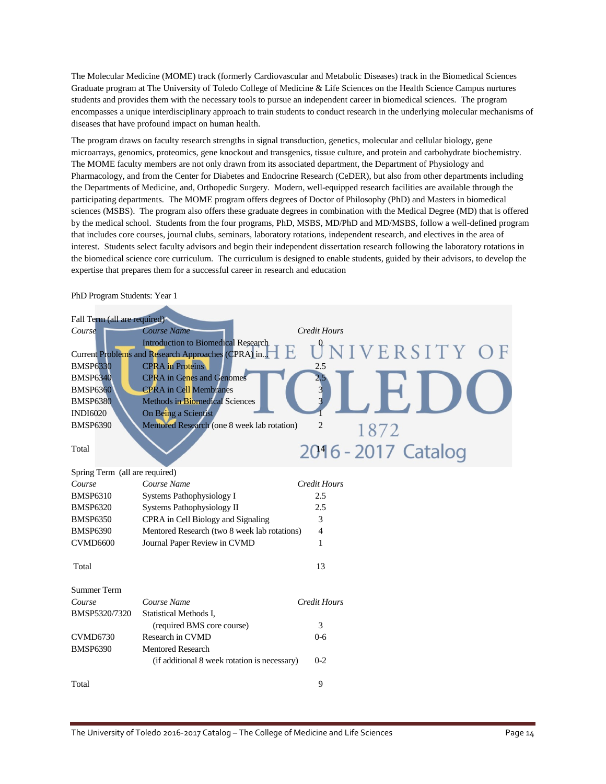The Molecular Medicine (MOME) track (formerly Cardiovascular and Metabolic Diseases) track in the Biomedical Sciences Graduate program at The University of Toledo College of Medicine & Life Sciences on the Health Science Campus nurtures students and provides them with the necessary tools to pursue an independent career in biomedical sciences. The program encompasses a unique interdisciplinary approach to train students to conduct research in the underlying molecular mechanisms of diseases that have profound impact on human health.

The program draws on faculty research strengths in signal transduction, genetics, molecular and cellular biology, gene microarrays, genomics, proteomics, gene knockout and transgenics, tissue culture, and protein and carbohydrate biochemistry. The MOME faculty members are not only drawn from its associated department, the Department of Physiology and Pharmacology, and from the Center for Diabetes and Endocrine Research (CeDER), but also from other departments including the Departments of Medicine, and, Orthopedic Surgery. Modern, well-equipped research facilities are available through the participating departments. The MOME program offers degrees of Doctor of Philosophy (PhD) and Masters in biomedical sciences (MSBS). The program also offers these graduate degrees in combination with the Medical Degree (MD) that is offered by the medical school. Students from the four programs, PhD, MSBS, MD/PhD and MD/MSBS, follow a well-defined program that includes core courses, journal clubs, seminars, laboratory rotations, independent research, and electives in the area of interest. Students select faculty advisors and begin their independent dissertation research following the laboratory rotations in the biomedical science core curriculum. The curriculum is designed to enable students, guided by their advisors, to develop the expertise that prepares them for a successful career in research and education

| Fall Term (all are required)   |                                                    |                        |
|--------------------------------|----------------------------------------------------|------------------------|
| Course                         | Course Name                                        | <b>Credit Hours</b>    |
|                                | <b>Introduction to Biomedical Research</b>         | NIVERSITY OF           |
|                                | Current Problems and Research Approaches (CPRA) in |                        |
| <b>BMSP6330</b>                | <b>CPRA</b> in Proteins                            | 2.5                    |
| <b>BMSP6340</b>                | <b>CPRA</b> in Genes and Genomes                   |                        |
| <b>BMSP6360</b>                | <b>CPRA</b> in Cell Membranes                      |                        |
| <b>BMSP6380</b>                | <b>Methods in Biomedical Sciences</b>              |                        |
| <b>INDI6020</b>                | On Being a Scientist                               |                        |
| <b>BMSP6390</b>                | Mentored Research (one 8 week lab rotation)        | $\overline{2}$<br>1872 |
|                                |                                                    |                        |
| Total                          |                                                    | 2016 - 2017 Catalog    |
|                                |                                                    |                        |
| Spring Term (all are required) |                                                    |                        |
| Course                         | Course Name                                        | <b>Credit Hours</b>    |
| <b>BMSP6310</b>                | Systems Pathophysiology I                          | 2.5                    |
| <b>BMSP6320</b>                | Systems Pathophysiology II                         | 2.5                    |
| <b>BMSP6350</b>                | CPRA in Cell Biology and Signaling                 | 3                      |
| <b>BMSP6390</b>                | Mentored Research (two 8 week lab rotations)       | 4                      |
| <b>CVMD6600</b>                | Journal Paper Review in CVMD                       | 1                      |
|                                |                                                    |                        |
| Total                          |                                                    | 13                     |
|                                |                                                    |                        |
| <b>Summer Term</b>             |                                                    |                        |
| Course                         | Course Name                                        | <b>Credit Hours</b>    |
| BMSP5320/7320                  | Statistical Methods I,                             |                        |
|                                | (required BMS core course)                         | 3                      |
| <b>CVMD6730</b>                | Research in CVMD                                   | $0 - 6$                |
| <b>BMSP6390</b>                | <b>Mentored Research</b>                           |                        |
|                                | (if additional 8 week rotation is necessary)       | $0 - 2$                |
|                                |                                                    |                        |
| Total                          |                                                    | 9                      |

PhD Program Students: Year 1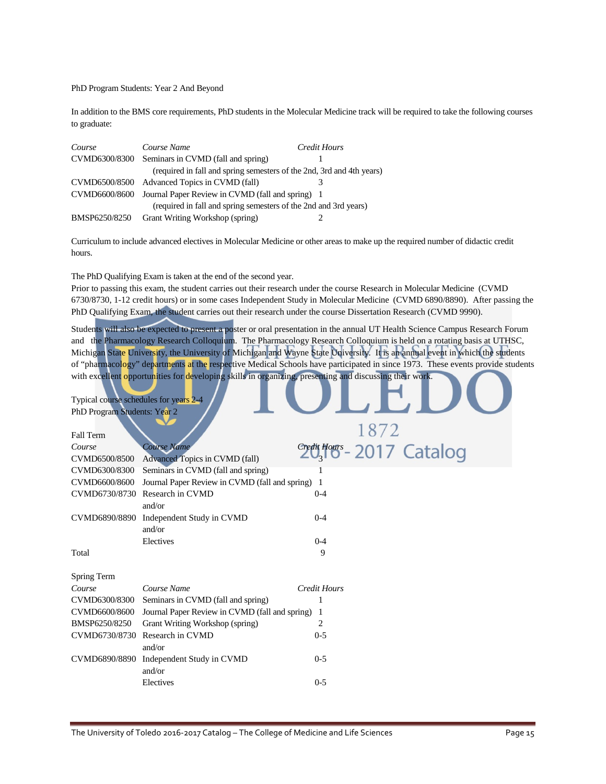#### PhD Program Students: Year 2 And Beyond

In addition to the BMS core requirements, PhD students in the Molecular Medicine track will be required to take the following courses to graduate:

| Course        | Course Name                                                           | Credit Hours |
|---------------|-----------------------------------------------------------------------|--------------|
|               | CVMD6300/8300 Seminars in CVMD (fall and spring)                      |              |
|               | (required in fall and spring semesters of the 2nd, 3rd and 4th years) |              |
|               | CVMD6500/8500 Advanced Topics in CVMD (fall)                          |              |
| CVMD6600/8600 | Journal Paper Review in CVMD (fall and spring) 1                      |              |
|               | (required in fall and spring semesters of the 2nd and 3rd years)      |              |
| BMSP6250/8250 | Grant Writing Workshop (spring)                                       |              |

Curriculum to include advanced electives in Molecular Medicine or other areas to make up the required number of didactic credit hours.

The PhD Qualifying Exam is taken at the end of the second year.

Prior to passing this exam, the student carries out their research under the course Research in Molecular Medicine (CVMD 6730/8730, 1-12 credit hours) or in some cases Independent Study in Molecular Medicine (CVMD 6890/8890). After passing the PhD Qualifying Exam, the student carries out their research under the course Dissertation Research (CVMD 9990).

Students will also be expected to present a poster or oral presentation in the annual UT Health Science Campus Research Forum and the Pharmacology Research Colloquium. The Pharmacology Research Colloquium is held on a rotating basis at UTHSC, Michigan State University, the University of Michigan and Wayne State University. It is an annual event in which the students of "pharmacology" departments at the respective Medical Schools have participated in since 1973. These events provide students with excellent opportunities for developing skills in organizing, presenting and discussing their work.

| Typical course schedules for years 2-4<br>PhD Program Students: Year 2 |                                                |                     |                                                                    |  |
|------------------------------------------------------------------------|------------------------------------------------|---------------------|--------------------------------------------------------------------|--|
| <b>Fall Term</b><br>Course<br>CVMD6500/8500                            | Course Name<br>Advanced Topics in CVMD (fall)  |                     | 1872<br>$C2$ <i>eg<sub>3</sub></i> Hog <sub>s</sub> - 2017 Catalog |  |
| CVMD6300/8300                                                          | Seminars in CVMD (fall and spring)             |                     |                                                                    |  |
| CVMD6600/8600                                                          | Journal Paper Review in CVMD (fall and spring) | $\mathbf{1}$        |                                                                    |  |
| CVMD6730/8730                                                          | Research in CVMD<br>and/or                     | $0 - 4$             |                                                                    |  |
| CVMD6890/8890                                                          | Independent Study in CVMD<br>and/or            | $0 - 4$             |                                                                    |  |
|                                                                        | Electives                                      | $0 - 4$             |                                                                    |  |
| Total                                                                  |                                                | 9                   |                                                                    |  |
| Spring Term                                                            |                                                |                     |                                                                    |  |
| Course                                                                 | Course Name                                    | <b>Credit Hours</b> |                                                                    |  |
| CVMD6300/8300                                                          | Seminars in CVMD (fall and spring)             |                     |                                                                    |  |
| CVMD6600/8600                                                          | Journal Paper Review in CVMD (fall and spring) | 1                   |                                                                    |  |
| BMSP6250/8250                                                          | Grant Writing Workshop (spring)                | 2                   |                                                                    |  |
| CVMD6730/8730                                                          | Research in CVMD<br>and/or                     | $0 - 5$             |                                                                    |  |
| CVMD6890/8890                                                          | Independent Study in CVMD<br>and/or            | $0 - 5$             |                                                                    |  |
|                                                                        | Electives                                      | $0 - 5$             |                                                                    |  |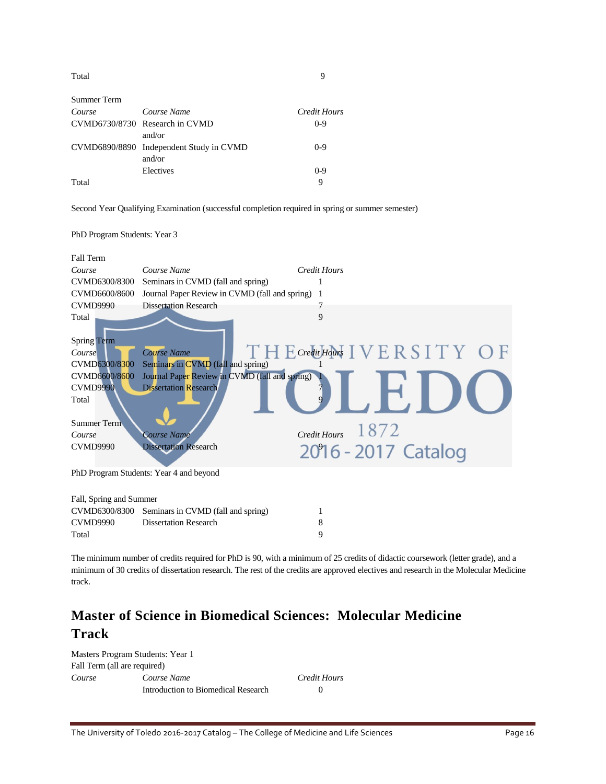Total 9

PhD Program Students: Year 3

| Summer Term |                                                   |              |
|-------------|---------------------------------------------------|--------------|
| Course      | Course Name                                       | Credit Hours |
|             | CVMD6730/8730 Research in CVMD                    | $0 - 9$      |
|             | and/or                                            |              |
|             | CVMD6890/8890 Independent Study in CVMD<br>and/or | $0-9$        |
|             | Electives                                         | $0-9$        |
| Total       |                                                   | 9            |

Second Year Qualifying Examination (successful completion required in spring or summer semester)

Fall Term *Course Course Name Credit Hours* CVMD6300/8300 Seminars in CVMD (fall and spring) 1 CVMD6600/8600 Journal Paper Review in CVMD (fall and spring) 1 CVMD9990 Dissertation Research 7 Total 9 Spring Term *Course* **Course** Name **COUTSE Credit Hours RSITY** CVMD6300/8300 Seminars in CVMD (fall and spring) 1 CVMD6600/8600 Journal Paper Review in CVMD (fall and spring) CVMD9990 Dissertation Research Total **9** Summer Term *Course* **Course** Name **Course** Name *Credit Hours* 1872 CVMD9990 Dissertation Research 2016 - 2017 Catalog PhD Program Students: Year 4 and beyond Fall, Spring and Summer CVMD6300/8300 Seminars in CVMD (fall and spring) 1 CVMD9990 Dissertation Research 8 Total 9

The minimum number of credits required for PhD is 90, with a minimum of 25 credits of didactic coursework (letter grade), and a minimum of 30 credits of dissertation research. The rest of the credits are approved electives and research in the Molecular Medicine track.

### **Master of Science in Biomedical Sciences: Molecular Medicine Track**

Masters Program Students: Year 1 Fall Term (all are required) *Course Course Name Credit Hours* Introduction to Biomedical Research 0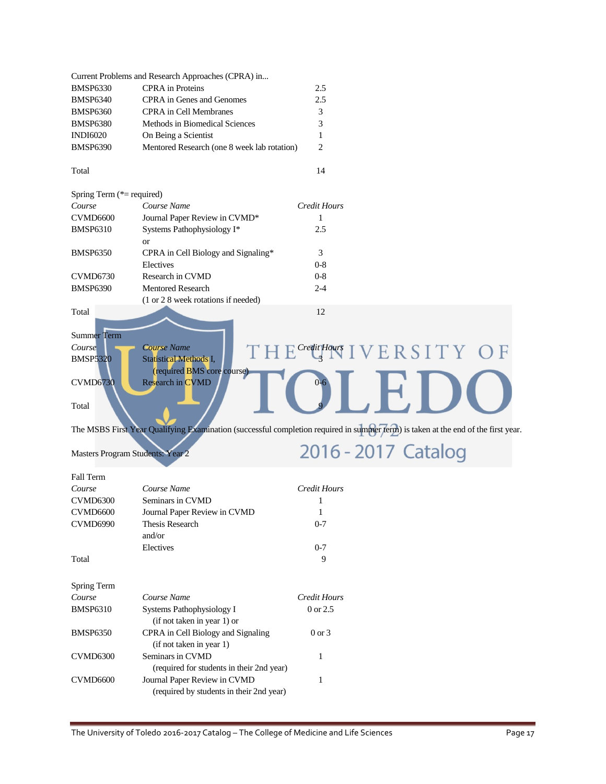|                                  | Current Problems and Research Approaches (CPRA) in                       |                                                                                                                                   |
|----------------------------------|--------------------------------------------------------------------------|-----------------------------------------------------------------------------------------------------------------------------------|
| <b>BMSP6330</b>                  | <b>CPRA</b> in Proteins                                                  | 2.5                                                                                                                               |
| <b>BMSP6340</b>                  | CPRA in Genes and Genomes                                                | 2.5                                                                                                                               |
| <b>BMSP6360</b>                  | <b>CPRA</b> in Cell Membranes                                            | 3                                                                                                                                 |
| <b>BMSP6380</b>                  | Methods in Biomedical Sciences                                           | 3                                                                                                                                 |
| <b>INDI6020</b>                  | On Being a Scientist                                                     | 1                                                                                                                                 |
| <b>BMSP6390</b>                  | Mentored Research (one 8 week lab rotation)                              | 2                                                                                                                                 |
|                                  |                                                                          |                                                                                                                                   |
| Total                            |                                                                          | 14                                                                                                                                |
| Spring Term (*= required)        |                                                                          |                                                                                                                                   |
| Course                           | Course Name                                                              | <b>Credit Hours</b>                                                                                                               |
| <b>CVMD6600</b>                  | Journal Paper Review in CVMD*                                            | 1                                                                                                                                 |
| <b>BMSP6310</b>                  | Systems Pathophysiology I*                                               | 2.5                                                                                                                               |
|                                  | <b>or</b>                                                                |                                                                                                                                   |
| <b>BMSP6350</b>                  | CPRA in Cell Biology and Signaling*                                      | 3                                                                                                                                 |
|                                  | Electives                                                                | $0-8$                                                                                                                             |
| CVMD6730                         | Research in CVMD                                                         | $0-8$                                                                                                                             |
| <b>BMSP6390</b>                  | <b>Mentored Research</b>                                                 | $2 - 4$                                                                                                                           |
|                                  | (1 or 2 8 week rotations if needed)                                      |                                                                                                                                   |
| Total                            |                                                                          | 12                                                                                                                                |
|                                  |                                                                          |                                                                                                                                   |
| <b>Summer Term</b>               |                                                                          |                                                                                                                                   |
| Course                           | <b>Course Name</b>                                                       | THE <sup>Credit Hows</sup> IVERSITY OF                                                                                            |
| <b>BMSP5320</b>                  | Statistical Methods I,                                                   |                                                                                                                                   |
|                                  | (required BMS core course)                                               |                                                                                                                                   |
| <b>CVMD6730</b>                  | Research in CVMD                                                         | $0 - 6$                                                                                                                           |
|                                  |                                                                          |                                                                                                                                   |
| Total                            |                                                                          |                                                                                                                                   |
|                                  |                                                                          | The MSBS First Year Qualifying Examination (successful completion required in summer term) is taken at the end of the first year. |
|                                  |                                                                          |                                                                                                                                   |
| Masters Program Students: Year 2 |                                                                          | 2016 - 2017 Catalog                                                                                                               |
|                                  |                                                                          |                                                                                                                                   |
| Fall Term                        |                                                                          |                                                                                                                                   |
| Course                           | Course Name                                                              | Credit Hours                                                                                                                      |
| CVMD6300                         | Seminars in CVMD                                                         | 1                                                                                                                                 |
| CVMD6600                         | Journal Paper Review in CVMD                                             | 1                                                                                                                                 |
| CVMD6990                         | Thesis Research                                                          | $0 - 7$                                                                                                                           |
|                                  | and/or                                                                   |                                                                                                                                   |
|                                  | Electives                                                                | $0 - 7$                                                                                                                           |
| Total                            |                                                                          | 9                                                                                                                                 |
| Spring Term                      |                                                                          |                                                                                                                                   |
| Course                           | Course Name                                                              | Credit Hours                                                                                                                      |
| <b>BMSP6310</b>                  | Systems Pathophysiology I                                                | 0 or 2.5                                                                                                                          |
|                                  | (if not taken in year 1) or                                              |                                                                                                                                   |
| <b>BMSP6350</b>                  | CPRA in Cell Biology and Signaling                                       | $0$ or $3$                                                                                                                        |
|                                  | (if not taken in year 1)                                                 |                                                                                                                                   |
| CVMD6300                         |                                                                          | 1                                                                                                                                 |
|                                  |                                                                          |                                                                                                                                   |
|                                  | Seminars in CVMD                                                         |                                                                                                                                   |
|                                  | (required for students in their 2nd year)                                | 1                                                                                                                                 |
| CVMD6600                         | Journal Paper Review in CVMD<br>(required by students in their 2nd year) |                                                                                                                                   |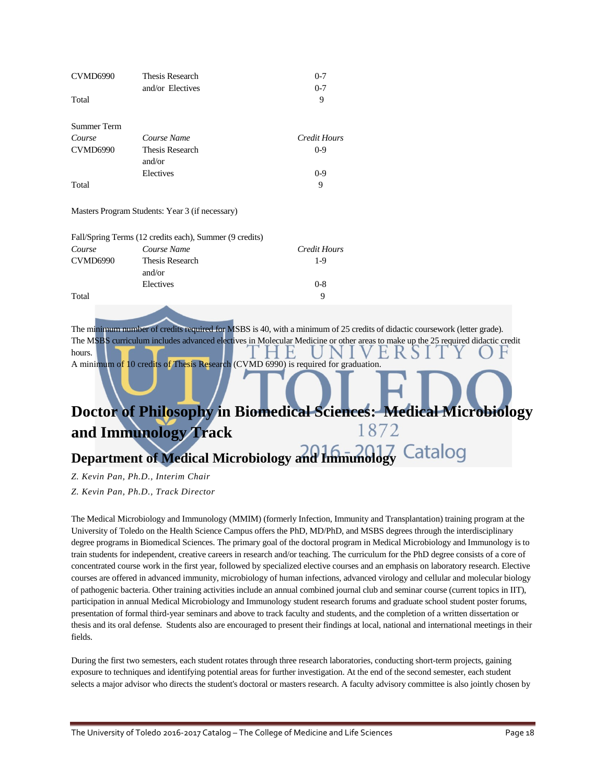| CVMD6990    | Thesis Research                                 | $0 - 7$      |
|-------------|-------------------------------------------------|--------------|
|             | and/or Electives                                | $0 - 7$      |
| Total       |                                                 | 9            |
|             |                                                 |              |
| Summer Term |                                                 |              |
| Course      | Course Name                                     | Credit Hours |
| CVMD6990    | Thesis Research                                 | $0-9$        |
|             | and/or                                          |              |
|             | Electives                                       | $0-9$        |
| Total       |                                                 | 9            |
|             |                                                 |              |
|             | Masters Program Students: Year 3 (if necessary) |              |

|                 | Fall/Spring Terms (12 credits each), Summer (9 credits) |              |
|-----------------|---------------------------------------------------------|--------------|
| Course          | Course Name                                             | Credit Hours |
| <b>CVMD6990</b> | Thesis Research                                         | 1-9          |
|                 | and/or                                                  |              |
|                 | Electives                                               | $0 - 8$      |
| Total           |                                                         | Q            |

The minimum number of credits required for MSBS is 40, with a minimum of 25 credits of didactic coursework (letter grade). The MSBS curriculum includes advanced electives in Molecular Medicine or other areas to make up the 25 required didactic credit hours. H A minimum of 10 credits of Thesis Research (CVMD 6990) is required for graduation.

### **Doctor of Philosophy in Biomedical Sciences: Medical Microbiology and Immunology Track** 1872

**Department of Medical Microbiology and Immunology Catalogy** 

*Z. Kevin Pan, Ph.D., Interim Chair*

*Z. Kevin Pan, Ph.D., Track Director*

The Medical Microbiology and Immunology (MMIM) (formerly Infection, Immunity and Transplantation) training program at the University of Toledo on the Health Science Campus offers the PhD, MD/PhD, and MSBS degrees through the interdisciplinary degree programs in Biomedical Sciences. The primary goal of the doctoral program in Medical Microbiology and Immunology is to train students for independent, creative careers in research and/or teaching. The curriculum for the PhD degree consists of a core of concentrated course work in the first year, followed by specialized elective courses and an emphasis on laboratory research. Elective courses are offered in advanced immunity, microbiology of human infections, advanced virology and cellular and molecular biology of pathogenic bacteria. Other training activities include an annual combined journal club and seminar course (current topics in IIT), participation in annual Medical Microbiology and Immunology student research forums and graduate school student poster forums, presentation of formal third-year seminars and above to track faculty and students, and the completion of a written dissertation or thesis and its oral defense. Students also are encouraged to present their findings at local, national and international meetings in their fields.

During the first two semesters, each student rotates through three research laboratories, conducting short-term projects, gaining exposure to techniques and identifying potential areas for further investigation. At the end of the second semester, each student selects a major advisor who directs the student's doctoral or masters research. A faculty advisory committee is also jointly chosen by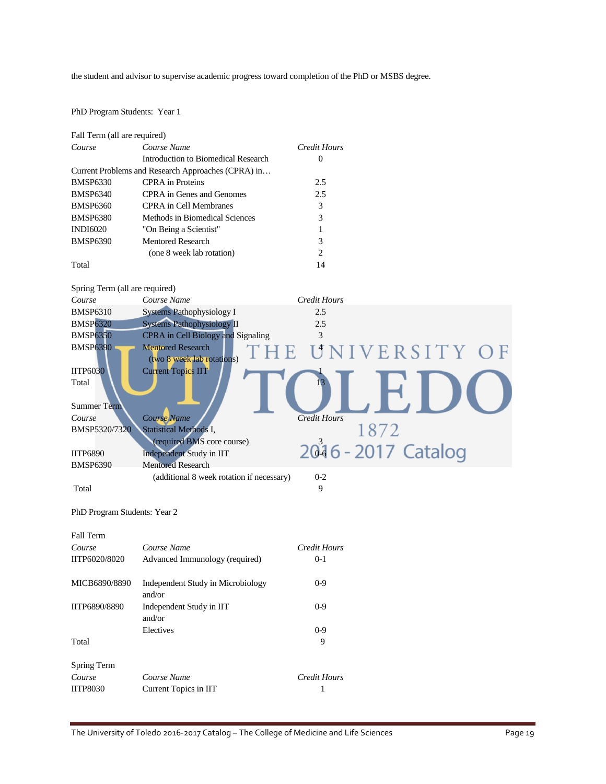the student and advisor to supervise academic progress toward completion of the PhD or MSBS degree.

#### PhD Program Students: Year 1

| Fall Term (all are required) |                                                    |              |
|------------------------------|----------------------------------------------------|--------------|
| Course                       | Course Name                                        | Credit Hours |
|                              | Introduction to Biomedical Research                | $\theta$     |
|                              | Current Problems and Research Approaches (CPRA) in |              |
| <b>BMSP6330</b>              | <b>CPRA</b> in Proteins                            | 2.5          |
| <b>BMSP6340</b>              | CPRA in Genes and Genomes                          | 2.5          |
| <b>BMSP6360</b>              | CPRA in Cell Membranes                             | 3            |
| <b>BMSP6380</b>              | Methods in Biomedical Sciences                     | 3            |
| <b>INDI6020</b>              | "On Being a Scientist"                             |              |
| <b>BMSP6390</b>              | <b>Mentored Research</b>                           | 3            |
|                              | (one 8 week lab rotation)                          | 2            |
| Total                        |                                                    | 14           |

| Spring Term (all are required) |                                                        |                     |
|--------------------------------|--------------------------------------------------------|---------------------|
| Course                         | Course Name                                            | Credit Hours        |
| <b>BMSP6310</b>                | <b>Systems Pathophysiology I</b>                       | 2.5                 |
| <b>BMSP6320</b>                | <b>Systems Pathophysiology II</b>                      | 2.5                 |
| <b>BMSP6350</b>                | CPRA in Cell Biology and Signaling                     | 3                   |
| <b>BMSP6390</b>                | <b>Mentored Research</b><br>(two 8 week lab rotations) | THE UNIVERSITY OF   |
| <b>IITP6030</b>                | <b>Current Topics IIT</b>                              |                     |
| Total                          |                                                        | 13                  |
| <b>Summer Term</b>             |                                                        |                     |
| Course                         | Course Name                                            | <b>Credit Hours</b> |
| BMSP5320/7320                  | <b>Statistical Methods I,</b>                          | 1872                |
|                                | (required BMS core course)                             | 2016 - 2017 Catalog |
| <b>IITP6890</b>                | <b>Independent Study in IIT</b>                        |                     |
| <b>BMSP6390</b>                | <b>Mentored Research</b>                               |                     |
|                                | (additional 8 week rotation if necessary)              | $0 - 2$             |
| Total                          |                                                        | 9                   |

PhD Program Students: Year 2

| Fall Term       |                                             |              |
|-----------------|---------------------------------------------|--------------|
| Course          | Course Name                                 | Credit Hours |
| IITP6020/8020   | Advanced Immunology (required)              | $0-1$        |
| MICB6890/8890   | Independent Study in Microbiology<br>and/or | $0-9$        |
| IITP6890/8890   | Independent Study in IIT<br>and/or          | $0 - 9$      |
|                 | Electives                                   | $0-9$        |
| Total           |                                             | 9            |
| Spring Term     |                                             |              |
| Course          | Course Name                                 | Credit Hours |
| <b>IITP8030</b> | Current Topics in IIT                       |              |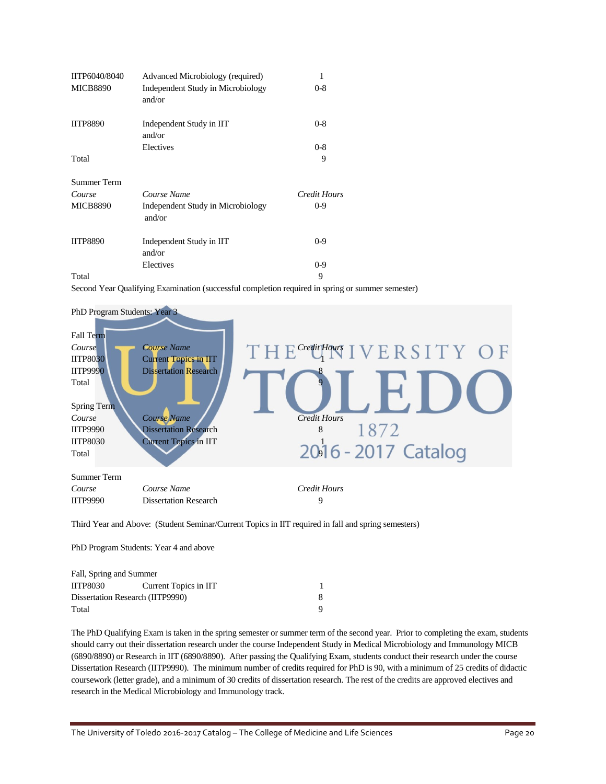| IITP6040/8040   | Advanced Microbiology (required)            | 1            |
|-----------------|---------------------------------------------|--------------|
| <b>MICB8890</b> | Independent Study in Microbiology<br>and/or | $0 - 8$      |
| <b>IITP8890</b> | Independent Study in IIT<br>and/or          | $0 - 8$      |
|                 | Electives                                   | $0 - 8$      |
| Total           |                                             | 9            |
| Summer Term     |                                             |              |
| Course          | Course Name                                 | Credit Hours |
| <b>MICB8890</b> | Independent Study in Microbiology<br>and/or | $0 - 9$      |
| <b>IITP8890</b> | Independent Study in IIT<br>and/or          | $0-9$        |
|                 | Electives                                   | $0 - 9$      |
| Total           |                                             | 9            |

Second Year Qualifying Examination (successful completion required in spring or summer semester)



Third Year and Above: (Student Seminar/Current Topics in IIT required in fall and spring semesters)

PhD Program Students: Year 4 and above

| Fall, Spring and Summer          |                       |  |  |
|----------------------------------|-----------------------|--|--|
| <b>IITP8030</b>                  | Current Topics in IIT |  |  |
| Dissertation Research (IITP9990) |                       |  |  |
| Total                            |                       |  |  |

The PhD Qualifying Exam is taken in the spring semester or summer term of the second year. Prior to completing the exam, students should carry out their dissertation research under the course Independent Study in Medical Microbiology and Immunology MICB (6890/8890) or Research in IIT (6890/8890). After passing the Qualifying Exam, students conduct their research under the course Dissertation Research (IITP9990). The minimum number of credits required for PhD is 90, with a minimum of 25 credits of didactic coursework (letter grade), and a minimum of 30 credits of dissertation research. The rest of the credits are approved electives and research in the Medical Microbiology and Immunology track.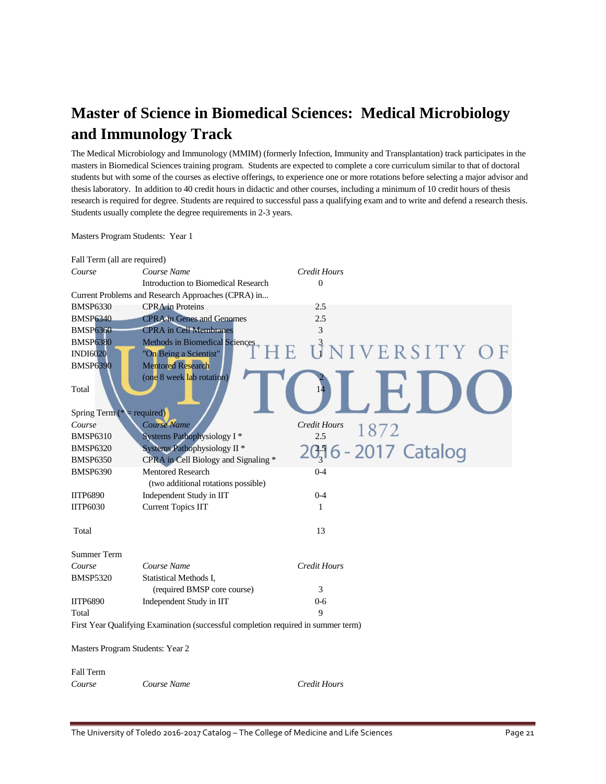# **Master of Science in Biomedical Sciences: Medical Microbiology and Immunology Track**

The Medical Microbiology and Immunology (MMIM) (formerly Infection, Immunity and Transplantation) track participates in the masters in Biomedical Sciences training program. Students are expected to complete a core curriculum similar to that of doctoral students but with some of the courses as elective offerings, to experience one or more rotations before selecting a major advisor and thesis laboratory. In addition to 40 credit hours in didactic and other courses, including a minimum of 10 credit hours of thesis research is required for degree. Students are required to successful pass a qualifying exam and to write and defend a research thesis. Students usually complete the degree requirements in 2-3 years.

Masters Program Students: Year 1

| Fall Term (all are required)       |                                                                                   |                             |
|------------------------------------|-----------------------------------------------------------------------------------|-----------------------------|
| Course                             | Course Name                                                                       | <b>Credit Hours</b>         |
|                                    | <b>Introduction to Biomedical Research</b>                                        | $\mathbf{0}$                |
|                                    | Current Problems and Research Approaches (CPRA) in                                |                             |
| <b>BMSP6330</b>                    | <b>CPRA</b> in Proteins                                                           | 2.5                         |
| <b>BMSP6340</b>                    | <b>CPRA</b> in Genes and Genomes                                                  | 2.5                         |
| <b>BMSP6360</b>                    | <b>CPRA</b> in Cell Membranes                                                     | 3                           |
| <b>BMSP6380</b>                    | Methods in Biomedical Sciences                                                    |                             |
| <b>INDI6020</b><br><b>BMSP6390</b> | "On Being a Scientist"<br><b>Mentored Research</b>                                | UNIVERSITY                  |
|                                    |                                                                                   |                             |
| Total                              | (one 8 week lab rotation)                                                         |                             |
| Spring Term ( $*$ = required)      |                                                                                   |                             |
| Course                             | Course Name                                                                       | <b>Credit Hours</b><br>1872 |
| <b>BMSP6310</b>                    | Systems Pathophysiology I*                                                        | 2.5                         |
| <b>BMSP6320</b>                    | Systems Pathophysiology II <sup>*</sup>                                           | 2016 - 2017 Catalog         |
| <b>BMSP6350</b>                    | CPRA in Cell Biology and Signaling *                                              |                             |
| <b>BMSP6390</b>                    | <b>Mentored Research</b>                                                          | $0 - 4$                     |
|                                    | (two additional rotations possible)                                               |                             |
| <b>IITP6890</b>                    | Independent Study in IIT                                                          | $0 - 4$                     |
| <b>IITP6030</b>                    | <b>Current Topics IIT</b>                                                         | 1                           |
|                                    |                                                                                   |                             |
| Total                              |                                                                                   | 13                          |
|                                    |                                                                                   |                             |
| <b>Summer Term</b>                 |                                                                                   |                             |
| Course                             | Course Name                                                                       | <b>Credit Hours</b>         |
| <b>BMSP5320</b>                    | Statistical Methods I,                                                            |                             |
|                                    | (required BMSP core course)                                                       | 3                           |
| <b>IITP6890</b>                    | Independent Study in IIT                                                          | $0-6$                       |
| Total                              |                                                                                   | 9                           |
|                                    | First Year Qualifying Examination (successful completion required in summer term) |                             |
| Masters Program Students: Year 2   |                                                                                   |                             |
| <b>Fall Term</b>                   |                                                                                   |                             |
| Course                             | Course Name                                                                       | Credit Hours                |
|                                    |                                                                                   |                             |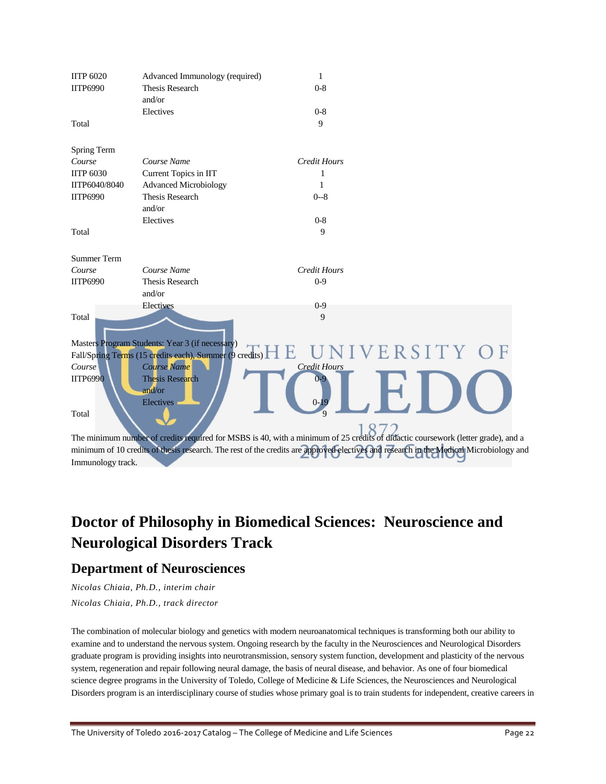| <b>IITP 6020</b>   | Advanced Immunology (required)                            | 1                                                                                                                                     |               |
|--------------------|-----------------------------------------------------------|---------------------------------------------------------------------------------------------------------------------------------------|---------------|
| <b>IITP6990</b>    | <b>Thesis Research</b>                                    | $0 - 8$                                                                                                                               |               |
|                    | and/or                                                    |                                                                                                                                       |               |
|                    | Electives                                                 | $0 - 8$                                                                                                                               |               |
| Total              |                                                           | 9                                                                                                                                     |               |
|                    |                                                           |                                                                                                                                       |               |
| Spring Term        |                                                           |                                                                                                                                       |               |
| Course             | Course Name                                               | <b>Credit Hours</b>                                                                                                                   |               |
| <b>IITP 6030</b>   | Current Topics in IIT                                     | 1                                                                                                                                     |               |
| IITP6040/8040      | <b>Advanced Microbiology</b>                              | 1                                                                                                                                     |               |
| <b>IITP6990</b>    | <b>Thesis Research</b>                                    | $0 - 8$                                                                                                                               |               |
|                    | and/or                                                    |                                                                                                                                       |               |
|                    | Electives                                                 | $0 - 8$                                                                                                                               |               |
| Total              |                                                           | 9                                                                                                                                     |               |
|                    |                                                           |                                                                                                                                       |               |
| <b>Summer Term</b> |                                                           |                                                                                                                                       |               |
| Course             | Course Name                                               | <b>Credit Hours</b>                                                                                                                   |               |
| <b>IITP6990</b>    | <b>Thesis Research</b>                                    | $0 - 9$                                                                                                                               |               |
|                    | and/or                                                    |                                                                                                                                       |               |
|                    | Electives                                                 | $0 - 9$                                                                                                                               |               |
| Total              |                                                           | 9                                                                                                                                     |               |
|                    |                                                           |                                                                                                                                       |               |
|                    | Masters Program Students: Year 3 (if necessary)           |                                                                                                                                       |               |
|                    | Fall/Spring Terms (15 credits each), Summer (9 credits) H |                                                                                                                                       | UNIVERSITY OF |
| Course             | Course Name                                               | <b>Credit Hours</b>                                                                                                                   |               |
| <b>IITP6990</b>    | <b>Thesis Research</b>                                    | $0 - 9$                                                                                                                               |               |
|                    | and/or                                                    |                                                                                                                                       |               |
|                    | Electives                                                 | $0-19$                                                                                                                                |               |
| Total              |                                                           | 9                                                                                                                                     |               |
|                    |                                                           |                                                                                                                                       |               |
|                    |                                                           | The minimum number of credits required for MSBS is 40, with a minimum of 25 credits of didactic coursework (letter grade), and a      |               |
|                    |                                                           | minimum of 10 credits of thesis research. The rest of the credits are approved electives and research in the Medical Microbiology and |               |

# **Doctor of Philosophy in Biomedical Sciences: Neuroscience and Neurological Disorders Track**

### **Department of Neurosciences**

*Nicolas Chiaia, Ph.D., interim chair Nicolas Chiaia, Ph.D., track director*

Immunology track.

The combination of molecular biology and genetics with modern neuroanatomical techniques is transforming both our ability to examine and to understand the nervous system. Ongoing research by the faculty in the Neurosciences and Neurological Disorders graduate program is providing insights into neurotransmission, sensory system function, development and plasticity of the nervous system, regeneration and repair following neural damage, the basis of neural disease, and behavior. As one of four biomedical science degree programs in the University of Toledo, College of Medicine & Life Sciences, the Neurosciences and Neurological Disorders program is an interdisciplinary course of studies whose primary goal is to train students for independent, creative careers in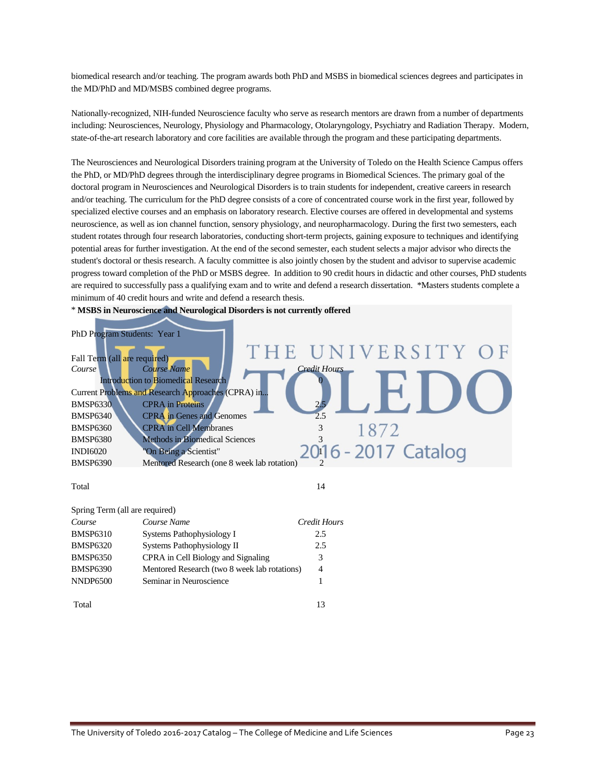biomedical research and/or teaching. The program awards both PhD and MSBS in biomedical sciences degrees and participates in the MD/PhD and MD/MSBS combined degree programs.

Nationally-recognized, NIH-funded Neuroscience faculty who serve as research mentors are drawn from a number of departments including: Neurosciences, Neurology, Physiology and Pharmacology, Otolaryngology, Psychiatry and Radiation Therapy. Modern, state-of-the-art research laboratory and core facilities are available through the program and these participating departments.

The Neurosciences and Neurological Disorders training program at the University of Toledo on the Health Science Campus offers the PhD, or MD/PhD degrees through the interdisciplinary degree programs in Biomedical Sciences. The primary goal of the doctoral program in Neurosciences and Neurological Disorders is to train students for independent, creative careers in research and/or teaching. The curriculum for the PhD degree consists of a core of concentrated course work in the first year, followed by specialized elective courses and an emphasis on laboratory research. Elective courses are offered in developmental and systems neuroscience, as well as ion channel function, sensory physiology, and neuropharmacology. During the first two semesters, each student rotates through four research laboratories, conducting short-term projects, gaining exposure to techniques and identifying potential areas for further investigation. At the end of the second semester, each student selects a major advisor who directs the student's doctoral or thesis research. A faculty committee is also jointly chosen by the student and advisor to supervise academic progress toward completion of the PhD or MSBS degree. In addition to 90 credit hours in didactic and other courses, PhD students are required to successfully pass a qualifying exam and to write and defend a research dissertation. \*Masters students complete a minimum of 40 credit hours and write and defend a research thesis.

\* **MSBS in Neuroscience and Neurological Disorders is not currently offered**

| PhD Program Students: Year 1<br>Course Name<br><b>Credit Hours</b>                                                           |                                                                                      |                   |
|------------------------------------------------------------------------------------------------------------------------------|--------------------------------------------------------------------------------------|-------------------|
|                                                                                                                              |                                                                                      |                   |
|                                                                                                                              | Fall Term (all are required)<br>Course<br><b>Introduction to Biomedical Research</b> | THE UNIVERSITY OF |
| Current Problems and Research Approaches (CPRA) in<br>$2^{5}$<br><b>BMSP6330</b><br><b>CPRA</b> in Proteins                  |                                                                                      |                   |
| <b>CPRA</b> in Genes and Genomes<br><b>BMSP6340</b><br><b>CPRA</b> in Cell Membranes<br><b>BMSP6360</b><br>1872              |                                                                                      |                   |
| <b>Methods in Biomedical Sciences</b><br><b>BMSP6380</b><br>2016 - 2017 Catalog<br>"On Being a Scientist"<br><b>INDI6020</b> |                                                                                      |                   |
| <b>BMSP6390</b><br>Mentored Research (one 8 week lab rotation)                                                               |                                                                                      |                   |

#### Total 14

| Spring Term (all are required) |                                              |              |
|--------------------------------|----------------------------------------------|--------------|
| Course                         | Course Name                                  | Credit Hours |
| <b>BMSP6310</b>                | Systems Pathophysiology I                    | 2.5          |
| <b>BMSP6320</b>                | Systems Pathophysiology II                   | 2.5          |
| <b>BMSP6350</b>                | CPRA in Cell Biology and Signaling           | 3            |
| <b>BMSP6390</b>                | Mentored Research (two 8 week lab rotations) | 4            |
| NNDP6500                       | Seminar in Neuroscience                      |              |
|                                |                                              |              |

Total 13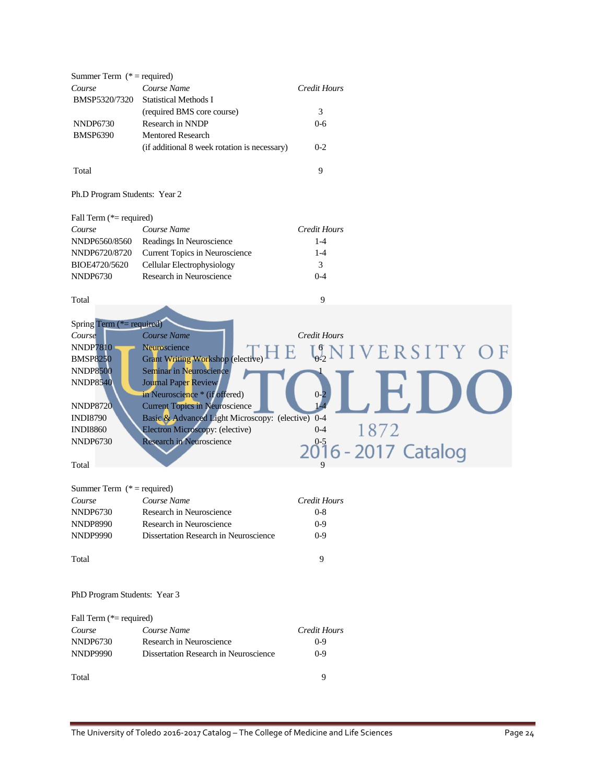| Summer Term $(* = required)$  |                                                   |                                |  |
|-------------------------------|---------------------------------------------------|--------------------------------|--|
| Course                        | Course Name                                       | Credit Hours                   |  |
| BMSP5320/7320                 | <b>Statistical Methods I</b>                      |                                |  |
|                               | (required BMS core course)                        | 3                              |  |
| NNDP6730                      | Research in NNDP                                  | $0 - 6$                        |  |
| <b>BMSP6390</b>               | <b>Mentored Research</b>                          |                                |  |
|                               | (if additional 8 week rotation is necessary)      | $0 - 2$                        |  |
| Total                         |                                                   | 9                              |  |
| Ph.D Program Students: Year 2 |                                                   |                                |  |
| Fall Term (*= required)       |                                                   |                                |  |
| Course                        | Course Name                                       | Credit Hours                   |  |
| NNDP6560/8560                 | Readings In Neuroscience                          | $1 - 4$                        |  |
| NNDP6720/8720                 | Current Topics in Neuroscience                    | $1 - 4$                        |  |
| BIOE4720/5620                 | Cellular Electrophysiology                        | 3                              |  |
| <b>NNDP6730</b>               | Research in Neuroscience                          | $0 - 4$                        |  |
|                               |                                                   |                                |  |
| Total                         |                                                   | 9                              |  |
|                               |                                                   |                                |  |
| Spring Term (*= required)     |                                                   |                                |  |
| Course                        | Course Name                                       | Credit Hours                   |  |
| <b>NNDP7810</b>               | Neuroscience                                      | $I_{02}^{\sigma}$ NIVERSITY OF |  |
| <b>BMSP8250</b>               | Grant Writing Workshop (elective)                 |                                |  |
| <b>NNDP8500</b>               | Seminar in Neuroscience                           |                                |  |
| <b>NNDP8540</b>               | Journal Paper Review                              |                                |  |
|                               | in Neuroscience * (if offered)                    | $0 - 2$                        |  |
| <b>NNDP8720</b>               | <b>Current Topics in Neuroscience</b>             |                                |  |
| <b>INDI8790</b>               | Basic & Advanced Light Microscopy: (elective) 0-4 |                                |  |
| <b>INDI8860</b>               | Electron Microscopy: (elective)                   | 1872<br>$0 - 4$                |  |
| <b>NNDP6730</b>               | Research in Neuroscience                          |                                |  |
|                               |                                                   | 2016 - 2017 Catalog            |  |
| Total                         |                                                   |                                |  |
| Summer Term $(* = required)$  |                                                   |                                |  |
| Course                        | Course Name                                       | Credit Hours                   |  |
| <b>NNDP6730</b>               | Research in Neuroscience                          | $0 - 8$                        |  |
| <b>NNDP8990</b>               | Research in Neuroscience                          | $0 - 9$                        |  |
| <b>NNDP9990</b>               | Dissertation Research in Neuroscience             | $0 - 9$                        |  |
|                               |                                                   |                                |  |
| Total                         |                                                   | 9                              |  |
|                               |                                                   |                                |  |
| PhD Program Students: Year 3  |                                                   |                                |  |
| Fall Term (*= required)       |                                                   |                                |  |
| Course                        | Course Name                                       | <b>Credit Hours</b>            |  |
| <b>NNDP6730</b>               | Research in Neuroscience                          | $0 - 9$                        |  |
| <b>NNDP9990</b>               | Dissertation Research in Neuroscience             | $0 - 9$                        |  |
| Total                         |                                                   | 9                              |  |
|                               |                                                   |                                |  |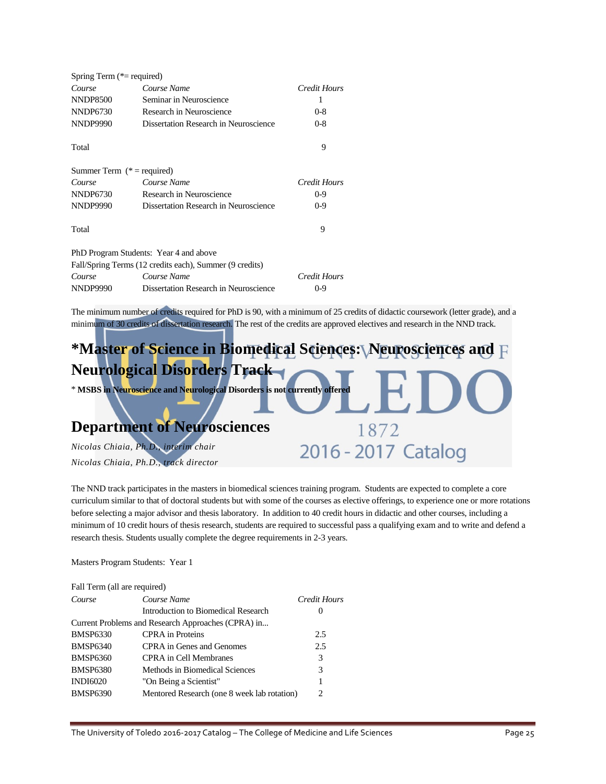| Spring Term $(*=$ required)  |                                                         |              |
|------------------------------|---------------------------------------------------------|--------------|
| Course                       | Course Name                                             | Credit Hours |
| <b>NNDP8500</b>              | Seminar in Neuroscience                                 |              |
| NNDP6730                     | Research in Neuroscience                                | $0 - 8$      |
| <b>NNDP9990</b>              | Dissertation Research in Neuroscience                   | $0 - 8$      |
| Total                        |                                                         | 9            |
| Summer Term $(* = required)$ |                                                         |              |
| Course                       | Course Name                                             | Credit Hours |
| NNDP6730                     | Research in Neuroscience                                | $0-9$        |
| <b>NNDP9990</b>              | Dissertation Research in Neuroscience                   | $0-9$        |
| Total                        |                                                         | 9            |
|                              | PhD Program Students: Year 4 and above                  |              |
|                              | Fall/Spring Terms (12 credits each), Summer (9 credits) |              |
| Course                       | Course Name                                             | Credit Hours |
| <b>NNDP9990</b>              | Dissertation Research in Neuroscience                   | $0 - 9$      |

The minimum number of credits required for PhD is 90, with a minimum of 25 credits of didactic coursework (letter grade), and a minimum of 30 credits of dissertation research. The rest of the credits are approved electives and research in the NND track.

# **\*Master of Science in Biomedical Sciences: Neurosciences and Neurological Disorders Track**

\* **MSBS in Neuroscience and Neurological Disorders is not currently offered**

# **Department of Neurosciences**

*Nicolas Chiaia, Ph.D., interim chair Nicolas Chiaia, Ph.D., track director*

The NND track participates in the masters in biomedical sciences training program. Students are expected to complete a core curriculum similar to that of doctoral students but with some of the courses as elective offerings, to experience one or more rotations before selecting a major advisor and thesis laboratory. In addition to 40 credit hours in didactic and other courses, including a minimum of 10 credit hours of thesis research, students are required to successful pass a qualifying exam and to write and defend a research thesis. Students usually complete the degree requirements in 2-3 years.

1872

2016 - 2017 Catalog

Masters Program Students: Year 1

| Fall Term (all are required) |                                                    |                             |
|------------------------------|----------------------------------------------------|-----------------------------|
| Course                       | Course Name                                        | Credit Hours                |
|                              | Introduction to Biomedical Research                | $\theta$                    |
|                              | Current Problems and Research Approaches (CPRA) in |                             |
| <b>BMSP6330</b>              | <b>CPRA</b> in Proteins                            | 2.5                         |
| <b>BMSP6340</b>              | CPRA in Genes and Genomes                          | 2.5                         |
| <b>BMSP6360</b>              | CPRA in Cell Membranes                             | 3                           |
| <b>BMSP6380</b>              | Methods in Biomedical Sciences                     | 3                           |
| <b>INDI6020</b>              | "On Being a Scientist"                             | 1                           |
| <b>BMSP6390</b>              | Mentored Research (one 8 week lab rotation)        | $\mathcal{D}_{\mathcal{L}}$ |
|                              |                                                    |                             |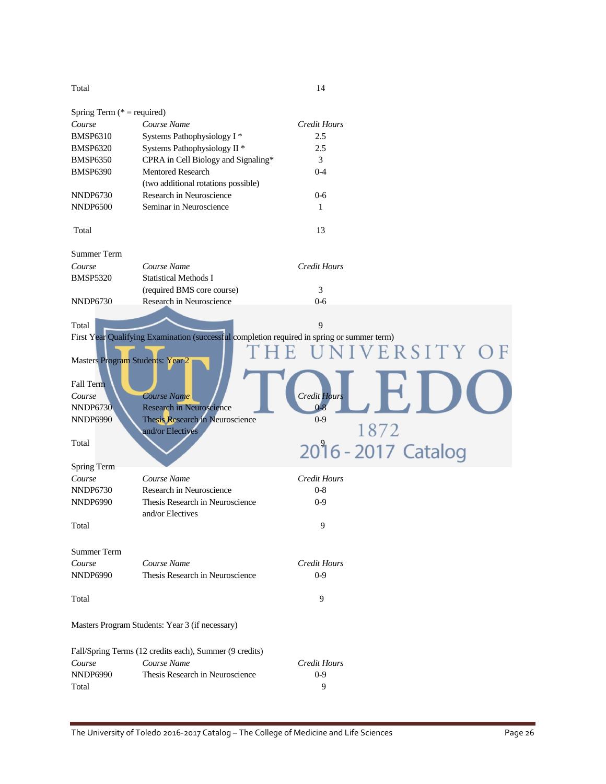Total 14

Spring Term (\* = required) *Course Course Name Credit Hours* BMSP6310 Systems Pathophysiology I \* 2.5 BMSP6320 Systems Pathophysiology II \* 2.5 BMSP6350 CPRA in Cell Biology and Signaling\* 3 BMSP6390 Mentored Research 0-4 (two additional rotations possible) NNDP6730 Research in Neuroscience 0-6 NNDP6500 Seminar in Neuroscience 1 Total 13 Summer Term *Course Course Name Credit Hours* BMSP5320 Statistical Methods I (required BMS core course) 3 NNDP6730 Research in Neuroscience 0-6 Total 9 First Year Qualifying Examination (successful completion required in spring or summer term) R S I Masters Program Students: Year 2 Fall Term **Course Course** Name **Course Course Course Course Credit Hours** NNDP6730 Research in Neuroscience 0-8<br>NNDP6990 Thesis Research in Neuroscience 0-9 NNDP6990 Thesis Research in Neuroscience 1872 and/or Electives Total 2016 - 2017 Catalog Spring Term *Course Course Name Credit Hours* NNDP6730 Research in Neuroscience 0-8 NNDP6990 Thesis Research in Neuroscience 0-9 and/or Electives Total 9 Summer Term *Course Course Name Credit Hours* NNDP6990 Thesis Research in Neuroscience 0-9 Total 9 Masters Program Students: Year 3 (if necessary) Fall/Spring Terms (12 credits each), Summer (9 credits) *Course Course Name Credit Hours* NNDP6990 Thesis Research in Neuroscience 0-9 Total 9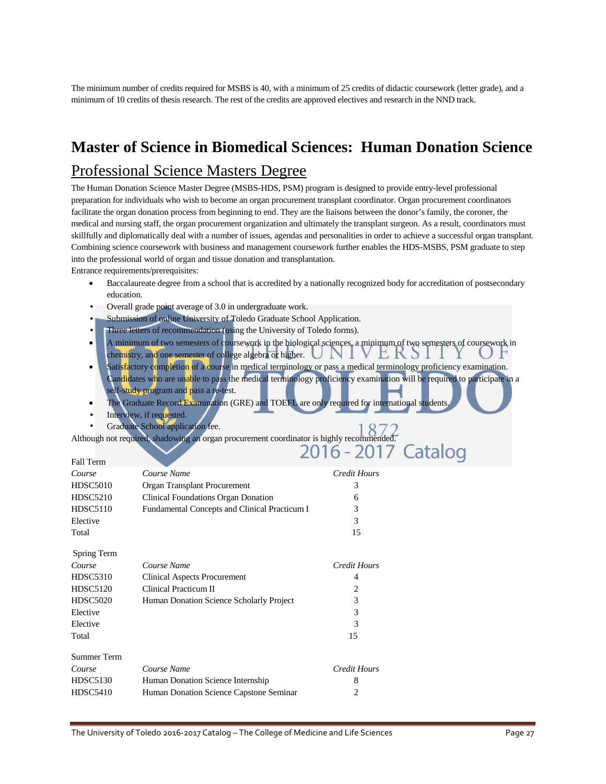The minimum number of credits required for MSBS is 40, with a minimum of 25 credits of didactic coursework (letter grade), and a minimum of 10 credits of thesis research. The rest of the credits are approved electives and research in the NND track.

# **Master of Science in Biomedical Sciences: Human Donation Science** Professional Science Masters Degree

The Human Donation Science Master Degree (MSBS-HDS, PSM) program is designed to provide entry-level professional preparation for individuals who wish to become an organ procurement transplant coordinator. Organ procurement coordinators facilitate the organ donation process from beginning to end. They are the liaisons between the donor's family, the coroner, the medical and nursing staff, the organ procurement organization and ultimately the transplant surgeon. As a result, coordinators must skillfully and diplomatically deal with a number of issues, agendas and personalities in order to achieve a successful organ transplant. Combining science coursework with business and management coursework further enables the HDS-MSBS, PSM graduate to step into the professional world of organ and tissue donation and transplantation.

Entrance requirements/prerequisites:

- Baccalaureate degree from a school that is accredited by a nationally recognized body for accreditation of postsecondary education.
- Overall grade point average of 3.0 in undergraduate work.
- Submission of online University of Toledo Graduate School Application.
- Three letters of recommendation (using the University of Toledo forms).
- A minimum of two semesters of coursework in the biological sciences, a minimum of two semesters of coursework in V F.F chemistry, and one semester of college algebra or higher.
- Satisfactory completion of a course in medical terminology or pass a medical terminology proficiency examination. Candidates who are unable to pass the medical terminology proficiency examination will be required to participate in a self-study program and pass a re-test.
- The Graduate Record Examination (GRE) and TOEFL are only required for international students.
- 
- Interview, if requested.<br>Graduate School application fee. • Graduate School application fee.

Although not required, shadowing an organ procurement coordinator is highly recommended.

| Fall Term          |                                               | 2 U I U<br>$\sim$ $\sim$ $\sim$ $\sim$ |
|--------------------|-----------------------------------------------|----------------------------------------|
| Course             | Course Name                                   | Credit Hours                           |
| <b>HDSC5010</b>    | Organ Transplant Procurement                  | 3                                      |
| <b>HDSC5210</b>    | Clinical Foundations Organ Donation           | 6                                      |
| <b>HDSC5110</b>    | Fundamental Concepts and Clinical Practicum I | 3                                      |
| Elective           |                                               | 3                                      |
| Total              |                                               | 15                                     |
| Spring Term        |                                               |                                        |
| Course             | Course Name                                   | Credit Hours                           |
| <b>HDSC5310</b>    | Clinical Aspects Procurement                  | 4                                      |
| <b>HDSC5120</b>    | Clinical Practicum II                         | 2                                      |
| <b>HDSC5020</b>    | Human Donation Science Scholarly Project      | 3                                      |
| Elective           |                                               | 3                                      |
| Elective           |                                               | 3                                      |
| Total              |                                               | 15                                     |
| <b>Summer Term</b> |                                               |                                        |
| Course             | Course Name                                   | Credit Hours                           |
| <b>HDSC5130</b>    | Human Donation Science Internship             | 8                                      |
| <b>HDSC5410</b>    | Human Donation Science Capstone Seminar       | 2                                      |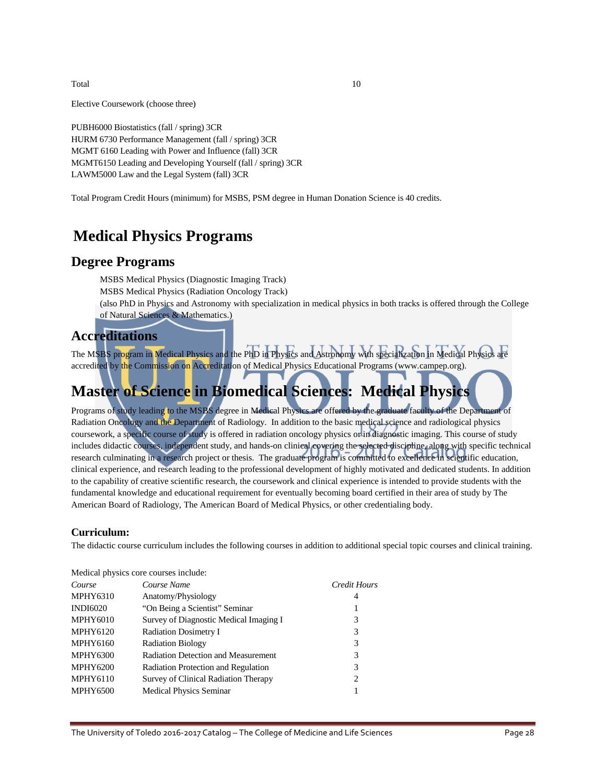Total and the set of the set of the set of the set of the set of the set of the set of the set of the set of the set of the set of the set of the set of the set of the set of the set of the set of the set of the set of the

Elective Coursework (choose three)

PUBH6000 Biostatistics (fall / spring) 3CR HURM 6730 Performance Management (fall / spring) 3CR MGMT 6160 Leading with Power and Influence (fall) 3CR MGMT6150 Leading and Developing Yourself (fall / spring) 3CR LAWM5000 Law and the Legal System (fall) 3CR

Total Program Credit Hours (minimum) for MSBS, PSM degree in Human Donation Science is 40 credits.

## **Medical Physics Programs**

### **Degree Programs**

MSBS Medical Physics (Diagnostic Imaging Track)

MSBS Medical Physics (Radiation Oncology Track)

(also PhD in Physics and Astronomy with specialization in medical physics in both tracks is offered through the College of Natural Sciences & Mathematics.)

### **Accreditations**

The MSBS program in Medical Physics and the PhD in Physics and Astronomy with specialization in Medical Physics are accredited by the Commission on Accreditation of Medical Physics Educational Programs (www.campep.org).

# **Master of Science in Biomedical Sciences: Medical Physics**

Programs of study leading to the MSBS degree in Medical Physics are offered by the graduate faculty of the Department of Radiation Oncology and the Department of Radiology. In addition to the basic medical science and radiological physics coursework, a specific course of study is offered in radiation oncology physics or in diagnostic imaging. This course of study includes didactic courses, independent study, and hands-on clinical covering the selected discipline, along with specific technical research culminating in a research project or thesis. The graduate program is committed to excellence in scientific education, clinical experience, and research leading to the professional development of highly motivated and dedicated students. In addition to the capability of creative scientific research, the coursework and clinical experience is intended to provide students with the fundamental knowledge and educational requirement for eventually becoming board certified in their area of study by The American Board of Radiology, The American Board of Medical Physics, or other credentialing body.

#### **Curriculum:**

The didactic course curriculum includes the following courses in addition to additional special topic courses and clinical training.

|                 | Medical physics core courses include:      |              |
|-----------------|--------------------------------------------|--------------|
| Course          | Course Name                                | Credit Hours |
| <b>MPHY6310</b> | Anatomy/Physiology                         | 4            |
| <b>INDI6020</b> | "On Being a Scientist" Seminar             |              |
| <b>MPHY6010</b> | Survey of Diagnostic Medical Imaging I     | 3            |
| <b>MPHY6120</b> | <b>Radiation Dosimetry I</b>               | 3            |
| <b>MPHY6160</b> | <b>Radiation Biology</b>                   | 3            |
| <b>MPHY6300</b> | <b>Radiation Detection and Measurement</b> | 3            |
| <b>MPHY6200</b> | Radiation Protection and Regulation        | 3            |
| <b>MPHY6110</b> | Survey of Clinical Radiation Therapy       | 2            |
| <b>MPHY6500</b> | <b>Medical Physics Seminar</b>             |              |
|                 |                                            |              |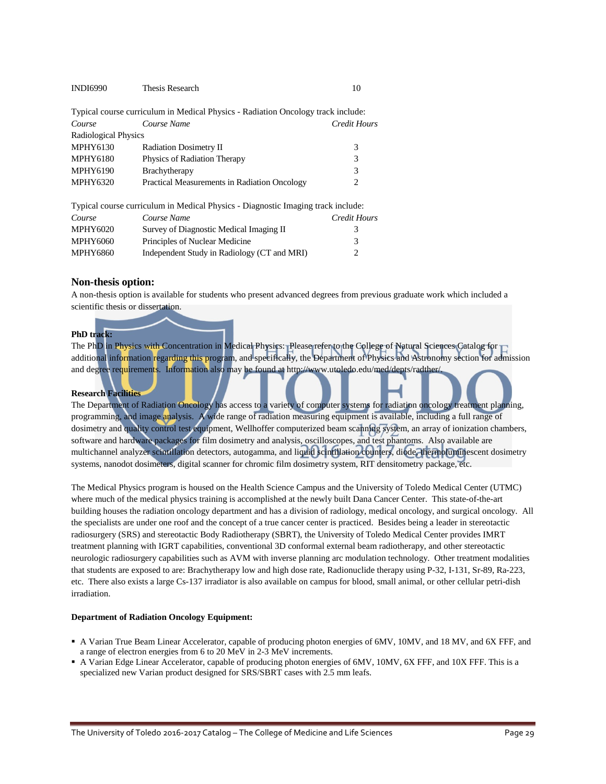| Course                      | Course Name                                                                      | Credit Hours |
|-----------------------------|----------------------------------------------------------------------------------|--------------|
| <b>Radiological Physics</b> |                                                                                  |              |
| MPHY6130                    | <b>Radiation Dosimetry II</b>                                                    | 3            |
| MPHY6180                    | Physics of Radiation Therapy                                                     | 3            |
| MPHY6190                    | Brachytherapy                                                                    | 3            |
| MPHY6320                    | Practical Measurements in Radiation Oncology                                     | 2            |
|                             | Typical course curriculum in Medical Physics - Diagnostic Imaging track include: |              |
| Course                      | Course Name                                                                      | Credit Hours |

*Course Course Name* **Course** *Course Course Course Course Course* MPHY6020 Survey of Diagnostic Medical Imaging II 3 MPHY6060 Principles of Nuclear Medicine 3 MPHY6860 Independent Study in Radiology (CT and MRI) 2

#### **Non-thesis option:**

A non-thesis option is available for students who present advanced degrees from previous graduate work which included a scientific thesis or dissertation.

#### **PhD track:**

The PhD in Physics with Concentration in Medical Physics: Please refer to the College of Natural Sciences Catalog for additional information regarding this program, and specifically, the Department of Physics and Astronomy section for admission and degree requirements. Information also may be found at http://www.utoledo.edu/med/depts/radther/

#### **Research Facilities**

The Department of Radiation Oncology has access to a variety of computer systems for radiation oncology treatment planning, programming, and image analysis. A wide range of radiation measuring equipment is available, including a full range of dosimetry and quality control test equipment, Wellhoffer computerized beam scanning system, an array of ionization chambers, software and hardware packages for film dosimetry and analysis, oscilloscopes, and test phantoms. Also available are multichannel analyzer scintillation detectors, autogamma, and liquid scintillation counters, diode, thermoluminescent dosimetry systems, nanodot dosimeters, digital scanner for chromic film dosimetry system, RIT densitometry package, etc.

The Medical Physics program is housed on the Health Science Campus and the University of Toledo Medical Center (UTMC) where much of the medical physics training is accomplished at the newly built Dana Cancer Center. This state-of-the-art building houses the radiation oncology department and has a division of radiology, medical oncology, and surgical oncology. All the specialists are under one roof and the concept of a true cancer center is practiced. Besides being a leader in stereotactic radiosurgery (SRS) and stereotactic Body Radiotherapy (SBRT), the University of Toledo Medical Center provides IMRT treatment planning with IGRT capabilities, conventional 3D conformal external beam radiotherapy, and other stereotactic neurologic radiosurgery capabilities such as AVM with inverse planning arc modulation technology. Other treatment modalities that students are exposed to are: Brachytherapy low and high dose rate, Radionuclide therapy using P-32, I-131, Sr-89, Ra-223, etc. There also exists a large Cs-137 irradiator is also available on campus for blood, small animal, or other cellular petri-dish irradiation.

#### **Department of Radiation Oncology Equipment:**

- A Varian True Beam Linear Accelerator, capable of producing photon energies of 6MV, 10MV, and 18 MV, and 6X FFF, and a range of electron energies from 6 to 20 MeV in 2-3 MeV increments.
- A Varian Edge Linear Accelerator, capable of producing photon energies of 6MV, 10MV, 6X FFF, and 10X FFF. This is a specialized new Varian product designed for SRS/SBRT cases with 2.5 mm leafs.

INDI6990 Thesis Research 10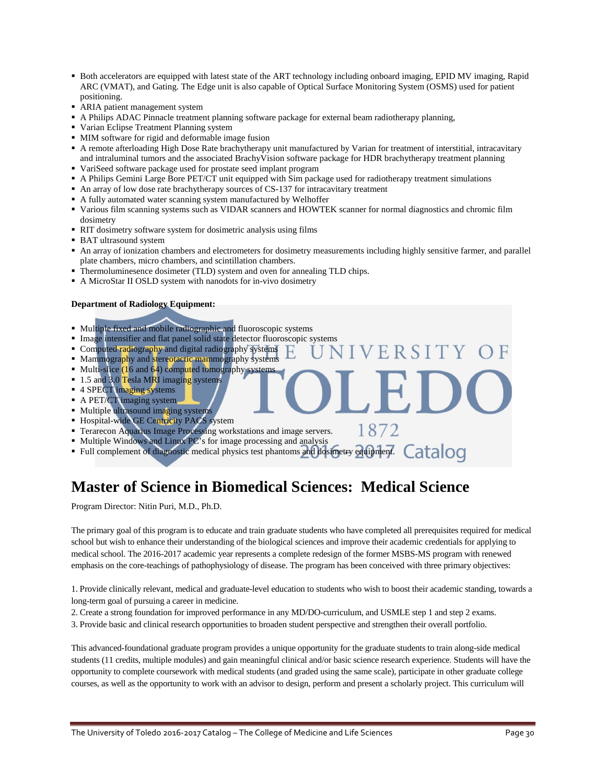- Both accelerators are equipped with latest state of the ART technology including onboard imaging, EPID MV imaging, Rapid ARC (VMAT), and Gating. The Edge unit is also capable of Optical Surface Monitoring System (OSMS) used for patient positioning.
- ARIA patient management system
- A Philips ADAC Pinnacle treatment planning software package for external beam radiotherapy planning,
- Varian Eclipse Treatment Planning system
- MIM software for rigid and deformable image fusion
- A remote afterloading High Dose Rate brachytherapy unit manufactured by Varian for treatment of interstitial, intracavitary and intraluminal tumors and the associated BrachyVision software package for HDR brachytherapy treatment planning
- VariSeed software package used for prostate seed implant program
- A Philips Gemini Large Bore PET/CT unit equipped with Sim package used for radiotherapy treatment simulations
- An array of low dose rate brachytherapy sources of CS-137 for intracavitary treatment
- A fully automated water scanning system manufactured by Welhoffer
- Various film scanning systems such as VIDAR scanners and HOWTEK scanner for normal diagnostics and chromic film dosimetry
- RIT dosimetry software system for dosimetric analysis using films
- **BAT** ultrasound system
- An array of ionization chambers and electrometers for dosimetry measurements including highly sensitive farmer, and parallel plate chambers, micro chambers, and scintillation chambers.

ERSITY

1872

- Thermoluminesence dosimeter (TLD) system and oven for annealing TLD chips.
- A MicroStar II OSLD system with nanodots for in-vivo dosimetry

#### **Department of Radiology Equipment:**

- Multiple fixed and mobile radiographic and fluoroscopic systems
- Image intensifier and flat panel solid state detector fluoroscopic systems
- Computed radiography and digital radiography systems
- Mammography and stereotactic mammography systems
- $\blacksquare$  Multi-slice  $(16 \text{ and } 64)$  computed tomography systems
- 1.5 and 3.0 Tesla MRI imaging systems
- 4 SPECT imaging systems
- A PET/CT imaging system
- Multiple ultrasound imaging systems
- Hospital-wide GE Centricity PACS system
- **Terarecon Aquarius Image Processing workstations and image servers.**
- Multiple Windows and Linux PC's for image processing and analysis
- Full complement of diagnostic medical physics test phantoms and dosimetry equipment. atalog

# **Master of Science in Biomedical Sciences: Medical Science**

Program Director: Nitin Puri, M.D., Ph.D.

The primary goal of this program is to educate and train graduate students who have completed all prerequisites required for medical school but wish to enhance their understanding of the biological sciences and improve their academic credentials for applying to medical school. The 2016-2017 academic year represents a complete redesign of the former MSBS-MS program with renewed emphasis on the core-teachings of pathophysiology of disease. The program has been conceived with three primary objectives:

1. Provide clinically relevant, medical and graduate-level education to students who wish to boost their academic standing, towards a long-term goal of pursuing a career in medicine.

- 2. Create a strong foundation for improved performance in any MD/DO-curriculum, and USMLE step 1 and step 2 exams.
- 3. Provide basic and clinical research opportunities to broaden student perspective and strengthen their overall portfolio.

This advanced-foundational graduate program provides a unique opportunity for the graduate students to train along-side medical students (11 credits, multiple modules) and gain meaningful clinical and/or basic science research experience. Students will have the opportunity to complete coursework with medical students (and graded using the same scale), participate in other graduate college courses, as well as the opportunity to work with an advisor to design, perform and present a scholarly project. This curriculum will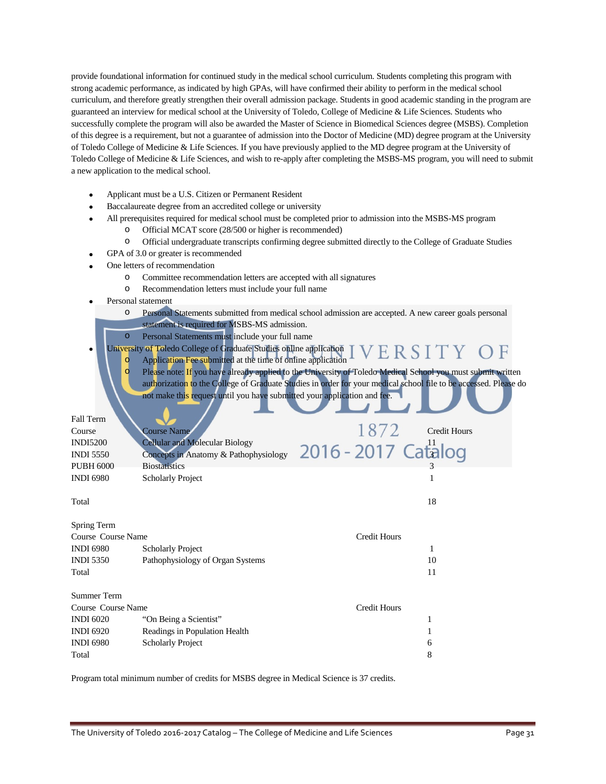provide foundational information for continued study in the medical school curriculum. Students completing this program with strong academic performance, as indicated by high GPAs, will have confirmed their ability to perform in the medical school curriculum, and therefore greatly strengthen their overall admission package. Students in good academic standing in the program are guaranteed an interview for medical school at the University of Toledo, College of Medicine & Life Sciences. Students who successfully complete the program will also be awarded the Master of Science in Biomedical Sciences degree (MSBS). Completion of this degree is a requirement, but not a guarantee of admission into the Doctor of Medicine (MD) degree program at the University of Toledo College of Medicine & Life Sciences. If you have previously applied to the MD degree program at the University of Toledo College of Medicine & Life Sciences, and wish to re-apply after completing the MSBS-MS program, you will need to submit a new application to the medical school.

- Applicant must be a U.S. Citizen or Permanent Resident
- Baccalaureate degree from an accredited college or university
- All prerequisites required for medical school must be completed prior to admission into the MSBS-MS program
	- o Official MCAT score (28/500 or higher is recommended)
	- o Official undergraduate transcripts confirming degree submitted directly to the College of Graduate Studies
- GPA of 3.0 or greater is recommended
- One letters of recommendation
	- o Committee recommendation letters are accepted with all signatures
	- o Recommendation letters must include your full name
- Personal statement
	- o Personal Statements submitted from medical school admission are accepted. A new career goals personal statement is required for MSBS-MS admission.
	- o Personal Statements must include your full name
	- University of Toledo College of Graduate Studies online application | ERSITY
		- o Application Fee submitted at the time of online application

Please note: If you have already applied to the University of Toledo Medical School you must submit written authorization to the College of Graduate Studies in order for your medical school file to be accessed. Please do not make this request until you have submitted your application and fee.

| Fall Term        |                                       |                                                                                                   |
|------------------|---------------------------------------|---------------------------------------------------------------------------------------------------|
| Course           | Course Name                           | 1872<br><b>Credit Hours</b>                                                                       |
| <b>INDI5200</b>  | <b>Cellular and Molecular Biology</b> |                                                                                                   |
| <b>INDI 5550</b> |                                       | Cellular and Molecular Biology<br>Concepts in Anatomy & Pathophysiology<br>$2016 - 2017$ Catalogy |
| <b>PUBH 6000</b> | <b>Biostatistics</b>                  |                                                                                                   |
| <b>INDI 6980</b> | <b>Scholarly Project</b>              |                                                                                                   |
|                  |                                       |                                                                                                   |

Total 18

| Spring Term        |                                  |              |    |
|--------------------|----------------------------------|--------------|----|
| Course Course Name |                                  | Credit Hours |    |
| <b>INDI 6980</b>   | <b>Scholarly Project</b>         |              |    |
| <b>INDI 5350</b>   | Pathophysiology of Organ Systems |              | 10 |
| Total              |                                  |              | 11 |
| Summer Term        |                                  |              |    |
| Course Course Name |                                  | Credit Hours |    |
| <b>INDI 6020</b>   | "On Being a Scientist"           |              |    |
| <b>INDI 6920</b>   | Readings in Population Health    |              |    |
| <b>INDI 6980</b>   | <b>Scholarly Project</b>         |              | 6  |
| Total              |                                  |              | 8  |

Program total minimum number of credits for MSBS degree in Medical Science is 37 credits.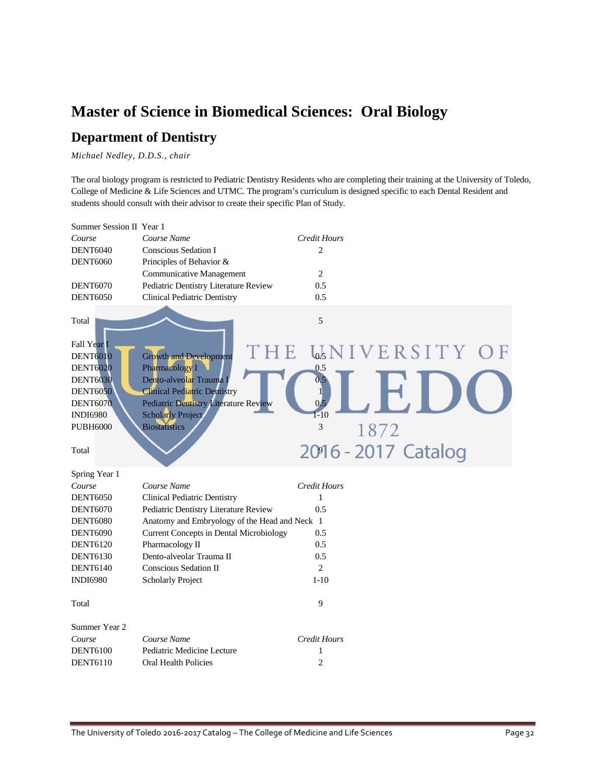# **Master of Science in Biomedical Sciences: Oral Biology**

### **Department of Dentistry**

*Michael Nedley, D.D.S., chair*

The oral biology program is restricted to Pediatric Dentistry Residents who are completing their training at the University of Toledo, College of Medicine & Life Sciences and UTMC. The program's curriculum is designed specific to each Dental Resident and students should consult with their advisor to create their specific Plan of Study.

| Summer Session II Year 1                                                                                                                                           |                                                                                                                                                                                                                       |                                                                                                     |
|--------------------------------------------------------------------------------------------------------------------------------------------------------------------|-----------------------------------------------------------------------------------------------------------------------------------------------------------------------------------------------------------------------|-----------------------------------------------------------------------------------------------------|
| Course                                                                                                                                                             | Course Name                                                                                                                                                                                                           | <b>Credit Hours</b>                                                                                 |
| <b>DENT6040</b>                                                                                                                                                    | <b>Conscious Sedation I</b>                                                                                                                                                                                           | $\overline{2}$                                                                                      |
| <b>DENT6060</b>                                                                                                                                                    | Principles of Behavior &                                                                                                                                                                                              |                                                                                                     |
|                                                                                                                                                                    | <b>Communicative Management</b>                                                                                                                                                                                       | $\overline{2}$                                                                                      |
| <b>DENT6070</b>                                                                                                                                                    | Pediatric Dentistry Literature Review                                                                                                                                                                                 | 0.5                                                                                                 |
| <b>DENT6050</b>                                                                                                                                                    | <b>Clinical Pediatric Dentistry</b>                                                                                                                                                                                   | 0.5                                                                                                 |
| Total<br>Fall Year I<br><b>DENT6010</b><br><b>DENT6020</b><br><b>DENT6030</b><br><b>DENT6050</b><br><b>DENT6070</b><br><b>INDI6980</b><br><b>PUBH6000</b><br>Total | THE<br>Growth and Development<br>Pharmacology I<br>Dento-alveolar Trauma I<br><b>Clinical Pediatric Dentistry</b><br><b>Pediatric Dentistry Literature Review</b><br><b>Scholarly Project</b><br><b>Biostatistics</b> | 5<br><b>WNIVERSITY OF</b><br>0.5<br>0.5<br>1<br>0.5<br>$1 - 10$<br>3<br>1872<br>2016 - 2017 Catalog |
| Spring Year 1                                                                                                                                                      |                                                                                                                                                                                                                       |                                                                                                     |
| Course                                                                                                                                                             | Course Name                                                                                                                                                                                                           | <b>Credit Hours</b>                                                                                 |
| <b>DENT6050</b>                                                                                                                                                    | <b>Clinical Pediatric Dentistry</b>                                                                                                                                                                                   | $\mathbf{1}$                                                                                        |
| <b>DENT6070</b>                                                                                                                                                    | Pediatric Dentistry Literature Review                                                                                                                                                                                 | 0.5                                                                                                 |
| <b>DENT6080</b>                                                                                                                                                    | Anatomy and Embryology of the Head and Neck 1                                                                                                                                                                         |                                                                                                     |
| <b>DENT6090</b>                                                                                                                                                    | <b>Current Concepts in Dental Microbiology</b>                                                                                                                                                                        | 0.5                                                                                                 |
| <b>DENT6120</b>                                                                                                                                                    | Pharmacology II                                                                                                                                                                                                       | 0.5                                                                                                 |
| <b>DENT6130</b>                                                                                                                                                    | Dento-alveolar Trauma II                                                                                                                                                                                              | 0.5                                                                                                 |
| <b>DENT6140</b>                                                                                                                                                    | <b>Conscious Sedation II</b>                                                                                                                                                                                          | $\overline{2}$                                                                                      |
| <b>INDI6980</b>                                                                                                                                                    | <b>Scholarly Project</b>                                                                                                                                                                                              | $1-10$                                                                                              |
| Total                                                                                                                                                              |                                                                                                                                                                                                                       | 9                                                                                                   |
| Summer Year 2                                                                                                                                                      |                                                                                                                                                                                                                       |                                                                                                     |
| Course                                                                                                                                                             | Course Name                                                                                                                                                                                                           | <b>Credit Hours</b>                                                                                 |
| <b>DENT6100</b>                                                                                                                                                    | Pediatric Medicine Lecture                                                                                                                                                                                            | 1                                                                                                   |
| <b>DENT6110</b>                                                                                                                                                    | <b>Oral Health Policies</b>                                                                                                                                                                                           | $\overline{2}$                                                                                      |
|                                                                                                                                                                    |                                                                                                                                                                                                                       |                                                                                                     |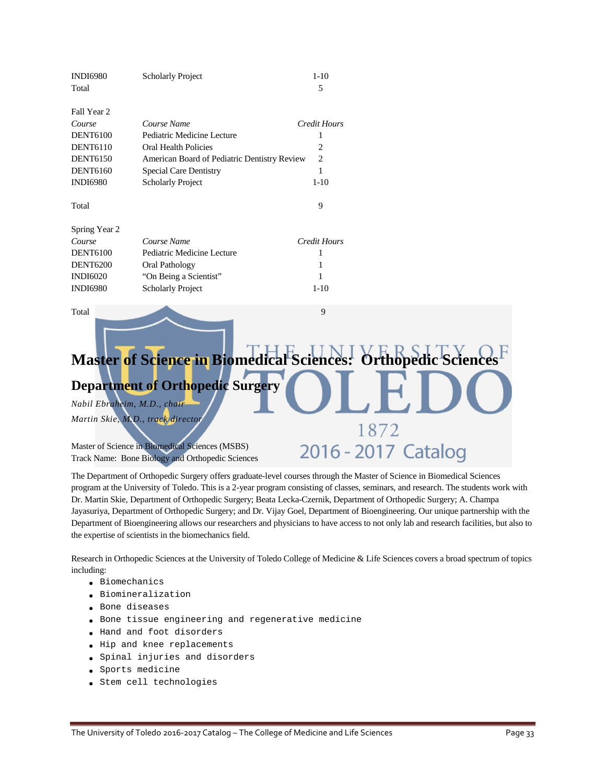| <b>INDI6980</b> | <b>Scholarly Project</b>                     | $1-10$              |
|-----------------|----------------------------------------------|---------------------|
| Total           |                                              | 5                   |
|                 |                                              |                     |
| Fall Year 2     |                                              |                     |
| Course          | Course Name                                  | Credit Hours        |
| <b>DENT6100</b> | Pediatric Medicine Lecture                   |                     |
| <b>DENT6110</b> | <b>Oral Health Policies</b>                  | 2                   |
| <b>DENT6150</b> | American Board of Pediatric Dentistry Review | $\overline{c}$      |
| <b>DENT6160</b> | <b>Special Care Dentistry</b>                | 1                   |
| <b>INDI6980</b> | <b>Scholarly Project</b>                     | $1-10$              |
|                 |                                              |                     |
| Total           |                                              | 9                   |
|                 |                                              |                     |
| Spring Year 2   |                                              |                     |
| Course          | Course Name                                  | <b>Credit Hours</b> |
| <b>DENT6100</b> | Pediatric Medicine Lecture                   | 1                   |
| <b>DENT6200</b> | Oral Pathology                               | 1                   |
| <b>INDI6020</b> | "On Being a Scientist"                       | 1                   |
| <b>INDI6980</b> | <b>Scholarly Project</b>                     | $1-10$              |
|                 |                                              |                     |
| Total           |                                              | 9                   |
|                 |                                              |                     |

**Master of Science in Biomedical Sciences: Orthopedic Department of Orthopedic Surgery** *Nabil Ebraheim, M.D., chair*

*Martin Skie, M.D., track directo* 

Master of Science in Biomedical Sciences (MSBS) Track Name: Bone Biology and Orthopedic Sciences

The Department of Orthopedic Surgery offers graduate-level courses through the Master of Science in Biomedical Sciences program at the University of Toledo. This is a 2-year program consisting of classes, seminars, and research. The students work with Dr. Martin Skie, Department of Orthopedic Surgery; Beata Lecka-Czernik, Department of Orthopedic Surgery; A. Champa Jayasuriya, Department of Orthopedic Surgery; and Dr. Vijay Goel, Department of Bioengineering. Our unique partnership with the Department of Bioengineering allows our researchers and physicians to have access to not only lab and research facilities, but also to the expertise of scientists in the biomechanics field.

1872

2016 - 2017 Catalog

Research in Orthopedic Sciences at the University of Toledo College of Medicine & Life Sciences covers a broad spectrum of topics including:

- Biomechanics
- Biomineralization
- Bone diseases
- Bone tissue engineering and regenerative medicine
- Hand and foot disorders
- Hip and knee replacements
- Spinal injuries and disorders
- Sports medicine
- Stem cell technologies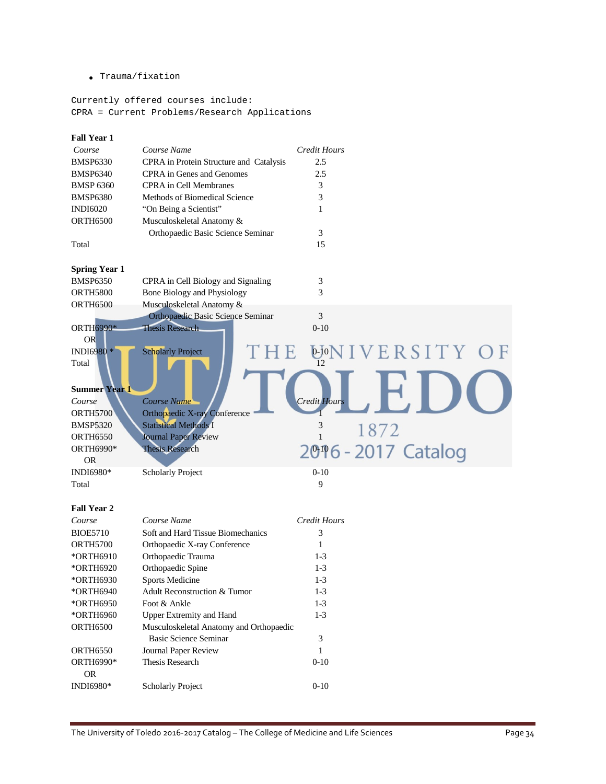• Trauma/fixation

Currently offered courses include: CPRA = Current Problems/Research Applications

| <b>Fall Year 1</b>   |                                         |                             |
|----------------------|-----------------------------------------|-----------------------------|
| Course               | Course Name                             | Credit Hours                |
| <b>BMSP6330</b>      | CPRA in Protein Structure and Catalysis | 2.5                         |
| <b>BMSP6340</b>      | CPRA in Genes and Genomes               | 2.5                         |
| <b>BMSP 6360</b>     | <b>CPRA</b> in Cell Membranes           | 3                           |
| <b>BMSP6380</b>      | Methods of Biomedical Science           | 3                           |
| <b>INDI6020</b>      | "On Being a Scientist"                  | 1                           |
| <b>ORTH6500</b>      | Musculoskeletal Anatomy &               |                             |
|                      | Orthopaedic Basic Science Seminar       | 3                           |
| Total                |                                         | 15                          |
|                      |                                         |                             |
| <b>Spring Year 1</b> |                                         |                             |
| <b>BMSP6350</b>      | CPRA in Cell Biology and Signaling      | 3                           |
| <b>ORTH5800</b>      | Bone Biology and Physiology             | 3                           |
| <b>ORTH6500</b>      | Musculoskeletal Anatomy &               |                             |
|                      | Orthopaedic Basic Science Seminar       | $\mathfrak{Z}$              |
| ORTH6990*            | <b>Thesis Research</b>                  | $0-10$                      |
| <b>OR</b>            |                                         |                             |
| <b>INDI6980*</b>     | <b>Scholarly Project</b>                | VERSITY OF<br>$0-10$        |
| Total                |                                         | 12                          |
|                      |                                         |                             |
| <b>Summer Year 1</b> |                                         |                             |
|                      |                                         | <b>Credit Hours</b>         |
| Course               | Course Name                             |                             |
| <b>ORTH5700</b>      | Orthopaedic X-ray Conference            |                             |
| <b>BMSP5320</b>      | <b>Statistical Methods I</b>            | 3<br>1872                   |
| <b>ORTH6550</b>      | <b>Journal Paper Review</b>             | $\mathbf{1}$                |
| ORTH6990*            | <b>Thesis Research</b>                  | 2076 - 2017 Catalog         |
| <b>OR</b>            |                                         |                             |
| INDI6980*            | <b>Scholarly Project</b>                | $0-10$                      |
| Total                |                                         | 9                           |
|                      |                                         |                             |
| <b>Fall Year 2</b>   |                                         |                             |
| Course               | Course Name                             | <b>Credit Hours</b>         |
| <b>BIOE5710</b>      | Soft and Hard Tissue Biomechanics       | 3                           |
| <b>ORTH5700</b>      | Orthopaedic X-ray Conference            | 1                           |
| *ORTH6910            | Orthopaedic Trauma                      | $1-3$                       |
| *ORTH6920            | Orthopaedic Spine                       | $1-3$                       |
| *ORTH6930            | <b>Sports Medicine</b>                  | $1-3$                       |
| *ORTH6940            | Adult Reconstruction & Tumor            | $1-3$                       |
| *ORTH6950            | Foot & Ankle                            | $1-3$                       |
| *ORTH6960            | <b>Upper Extremity and Hand</b>         | $1-3$                       |
| ORTH6500             | Musculoskeletal Anatomy and Orthopaedic |                             |
|                      | <b>Basic Science Seminar</b>            | $\ensuremath{\mathfrak{Z}}$ |
| <b>ORTH6550</b>      | Journal Paper Review                    | 1                           |
| ORTH6990*            | Thesis Research                         | $0 - 10$                    |
| <b>OR</b>            |                                         |                             |
| INDI6980*            | Scholarly Project                       | $0 - 10$                    |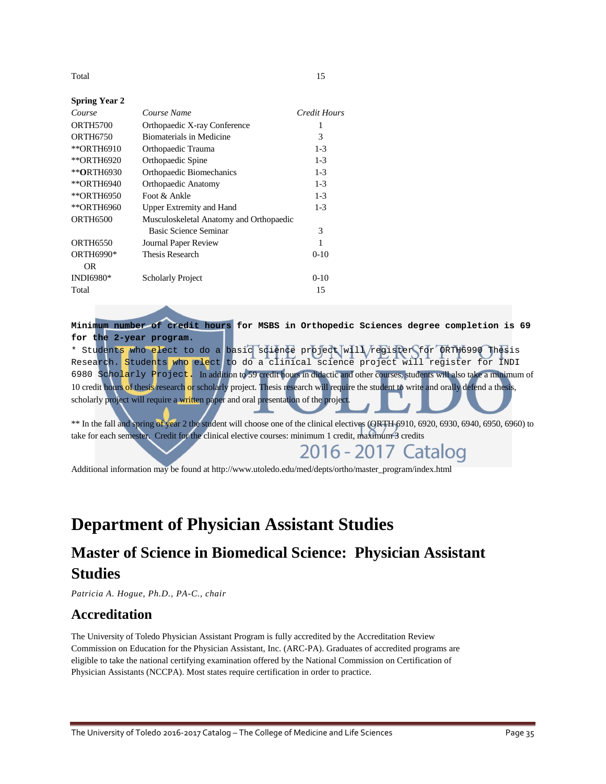Total 15

| <b>Spring Year 2</b> |                                         |              |
|----------------------|-----------------------------------------|--------------|
| Course               | Course Name                             | Credit Hours |
| <b>ORTH5700</b>      | Orthopaedic X-ray Conference            | 1            |
| <b>ORTH6750</b>      | Biomaterials in Medicine                | 3            |
| **ORTH6910           | Orthopaedic Trauma                      | $1 - 3$      |
| **ORTH6920           | Orthopaedic Spine                       | $1 - 3$      |
| **ORTH6930           | Orthopaedic Biomechanics                | $1 - 3$      |
| **ORTH6940           | <b>Orthopaedic Anatomy</b>              | $1 - 3$      |
| **ORTH6950           | Foot $\&$ Ankle                         | $1 - 3$      |
| **ORTH6960           | <b>Upper Extremity and Hand</b>         | $1 - 3$      |
| <b>ORTH6500</b>      | Musculoskeletal Anatomy and Orthopaedic |              |
|                      | Basic Science Seminar                   | 3            |
| <b>ORTH6550</b>      | Journal Paper Review                    | 1            |
| <b>ORTH6990*</b>     | Thesis Research                         | $0-10$       |
| OR.                  |                                         |              |
| INDI6980*            | <b>Scholarly Project</b>                | $0-10$       |
| Total                |                                         | 15           |

**Minimum number of credit hours for MSBS in Orthopedic Sciences degree completion is 69 for the 2-year program.**  \* Students who elect to do a basic science project will register for ORTH6990 Thesis Research. Students who elect to do a clinical science project will register for INDI 6980 Scholarly Project**.** In addition to 59 credit hours in didactic and other courses, students will also take a minimum of 10 credit hours of thesis research or scholarly project. Thesis research will require the student to write and orally defend a thesis, scholarly project will require a written paper and oral presentation of the project.

\*\* In the fall and spring of year 2 the student will choose one of the clinical electives (ORTH 6910, 6920, 6930, 6940, 6950, 6960) to take for each semester. Credit for the clinical elective courses: minimum 1 credit, maximum 3 credits

Additional information may be found at [http://www.utoledo.edu/med/depts/ortho/master\\_program/index.html](http://www.utoledo.edu/med/depts/ortho/master_program/index.html)

2016 - 2017 Catalog

# **Department of Physician Assistant Studies**

# **Master of Science in Biomedical Science: Physician Assistant Studies**

*Patricia A. Hogue, Ph.D., PA-C., chair*

### **Accreditation**

The University of Toledo Physician Assistant Program is fully accredited by the Accreditation Review Commission on Education for the Physician Assistant, Inc. (ARC-PA). Graduates of accredited programs are eligible to take the national certifying examination offered by the National Commission on Certification of Physician Assistants (NCCPA). Most states require certification in order to practice.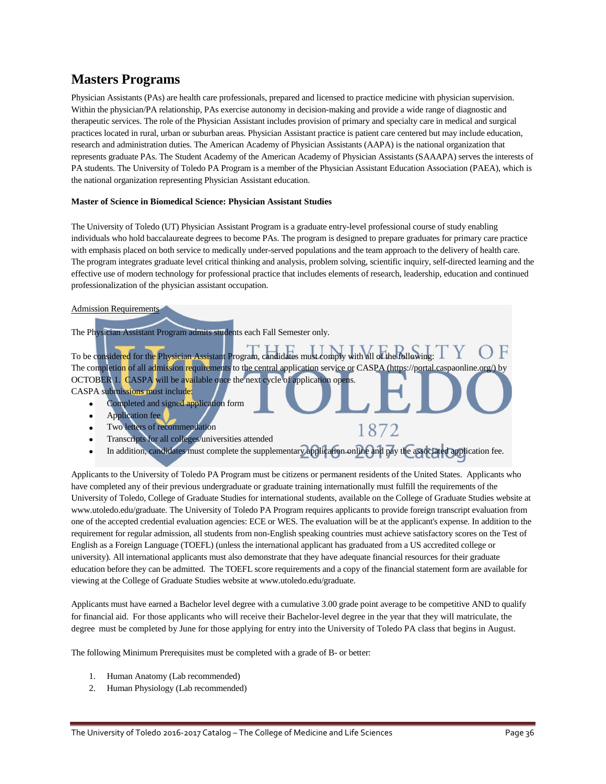### **Masters Programs**

Physician Assistants (PAs) are health care professionals, prepared and licensed to practice medicine with physician supervision. Within the physician/PA relationship, PAs exercise autonomy in decision-making and provide a wide range of diagnostic and therapeutic services. The role of the Physician Assistant includes provision of primary and specialty care in medical and surgical practices located in rural, urban or suburban areas. Physician Assistant practice is patient care centered but may include education, research and administration duties. The American Academy of Physician Assistants (AAPA) is the national organization that represents graduate PAs. The Student Academy of the American Academy of Physician Assistants (SAAAPA) serves the interests of PA students. The University of Toledo PA Program is a member of the Physician Assistant Education Association (PAEA), which is the national organization representing Physician Assistant education.

#### **Master of Science in Biomedical Science: Physician Assistant Studies**

The University of Toledo (UT) Physician Assistant Program is a graduate entry-level professional course of study enabling individuals who hold baccalaureate degrees to become PAs. The program is designed to prepare graduates for primary care practice with emphasis placed on both service to medically under-served populations and the team approach to the delivery of health care. The program integrates graduate level critical thinking and analysis, problem solving, scientific inquiry, self-directed learning and the effective use of modern technology for professional practice that includes elements of research, leadership, education and continued professionalization of the physician assistant occupation.

Admission Requirements

The Physician Assistant Program admits students each Fall Semester only.

To be considered for the Physician Assistant Program, candidates must comply with all of the following: The completion of all admission requirements to the central application service or CASPA (https://portal.caspaonline.org/) by OCTOBER 1. CASPA will be available once the next cycle of application opens. CASPA submissions must include:

- Completed and signed application form
- Application fee
- Two letters of recommendation
- Transcripts for all colleges/universities attended
- In addition, candidates must complete the supplementary application online and pay the associated application fee.

1872

Applicants to the University of Toledo PA Program must be citizens or permanent residents of the United States. Applicants who have completed any of their previous undergraduate or graduate training internationally must fulfill the requirements of the University of Toledo, College of Graduate Studies for international students, available on the College of Graduate Studies website at www.utoledo.edu/graduate. The University of Toledo PA Program requires applicants to provide foreign transcript evaluation from one of the accepted credential evaluation agencies: ECE or WES. The evaluation will be at the applicant's expense. In addition to the requirement for regular admission, all students from non-English speaking countries must achieve satisfactory scores on the Test of English as a Foreign Language (TOEFL) (unless the international applicant has graduated from a US accredited college or university). All international applicants must also demonstrate that they have adequate financial resources for their graduate education before they can be admitted. The TOEFL score requirements and a copy of the financial statement form are available for viewing at the College of Graduate Studies website at www.utoledo.edu/graduate.

Applicants must have earned a Bachelor level degree with a cumulative 3.00 grade point average to be competitive AND to qualify for financial aid. For those applicants who will receive their Bachelor-level degree in the year that they will matriculate, the degree must be completed by June for those applying for entry into the University of Toledo PA class that begins in August.

The following Minimum Prerequisites must be completed with a grade of B- or better:

- 1. Human Anatomy (Lab recommended)
- 2. Human Physiology (Lab recommended)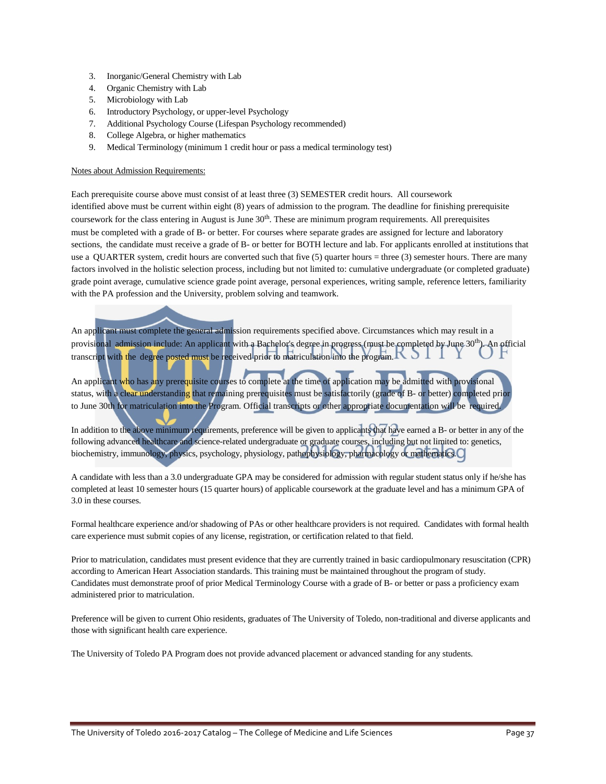- 3. Inorganic/General Chemistry with Lab
- 4. Organic Chemistry with Lab
- 5. Microbiology with Lab
- 6. Introductory Psychology, or upper-level Psychology
- 7. Additional Psychology Course (Lifespan Psychology recommended)
- 8. College Algebra, or higher mathematics
- 9. Medical Terminology (minimum 1 credit hour or pass a medical terminology test)

#### Notes about Admission Requirements:

Each prerequisite course above must consist of at least three (3) SEMESTER credit hours. All coursework identified above must be current within eight (8) years of admission to the program. The deadline for finishing prerequisite coursework for the class entering in August is June  $30<sup>th</sup>$ . These are minimum program requirements. All prerequisites must be completed with a grade of B- or better. For courses where separate grades are assigned for lecture and laboratory sections, the candidate must receive a grade of B- or better for BOTH lecture and lab. For applicants enrolled at institutions that use a QUARTER system, credit hours are converted such that five (5) quarter hours = three (3) semester hours. There are many factors involved in the holistic selection process, including but not limited to: cumulative undergraduate (or completed graduate) grade point average, cumulative science grade point average, personal experiences, writing sample, reference letters, familiarity with the PA profession and the University, problem solving and teamwork.

An applicant must complete the general admission requirements specified above. Circumstances which may result in a provisional admission include: An applicant with a Bachelor's degree in progress (must be completed by June 30<sup>th</sup>). An official transcript with the degree posted must be received prior to matriculation into the program.

An applicant who has any prerequisite courses to complete at the time of application may be admitted with provisional status, with a clear understanding that remaining prerequisites must be satisfactorily (grade of B- or better) completed prior to June 30th for matriculation into the Program. Official transcripts or other appropriate documentation will be required.

In addition to the above minimum requirements, preference will be given to applicants that have earned a B- or better in any of the following advanced healthcare and science-related undergraduate or graduate courses, including but not limited to: genetics, biochemistry, immunology, physics, psychology, physiology, pathophysiology, pharmacology or mathematics.

A candidate with less than a 3.0 undergraduate GPA may be considered for admission with regular student status only if he/she has completed at least 10 semester hours (15 quarter hours) of applicable coursework at the graduate level and has a minimum GPA of 3.0 in these courses.

Formal healthcare experience and/or shadowing of PAs or other healthcare providers is not required. Candidates with formal health care experience must submit copies of any license, registration, or certification related to that field.

Prior to matriculation, candidates must present evidence that they are currently trained in basic cardiopulmonary resuscitation (CPR) according to American Heart Association standards. This training must be maintained throughout the program of study. Candidates must demonstrate proof of prior Medical Terminology Course with a grade of B- or better or pass a proficiency exam administered prior to matriculation.

Preference will be given to current Ohio residents, graduates of The University of Toledo, non-traditional and diverse applicants and those with significant health care experience.

The University of Toledo PA Program does not provide advanced placement or advanced standing for any students.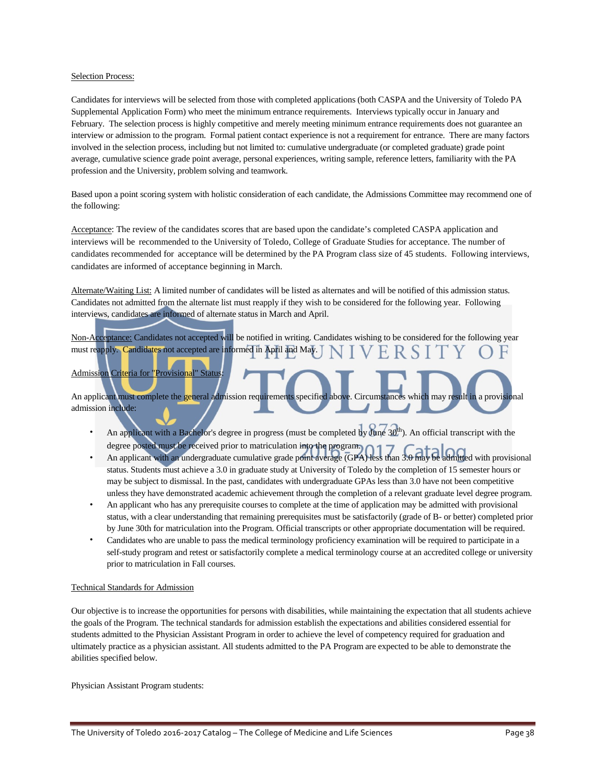#### Selection Process:

Candidates for interviews will be selected from those with completed applications (both CASPA and the University of Toledo PA Supplemental Application Form) who meet the minimum entrance requirements. Interviews typically occur in January and February. The selection process is highly competitive and merely meeting minimum entrance requirements does not guarantee an interview or admission to the program. Formal patient contact experience is not a requirement for entrance. There are many factors involved in the selection process, including but not limited to: cumulative undergraduate (or completed graduate) grade point average, cumulative science grade point average, personal experiences, writing sample, reference letters, familiarity with the PA profession and the University, problem solving and teamwork.

Based upon a point scoring system with holistic consideration of each candidate, the Admissions Committee may recommend one of the following:

Acceptance: The review of the candidates scores that are based upon the candidate's completed CASPA application and interviews will be recommended to the University of Toledo, College of Graduate Studies for acceptance. The number of candidates recommended for acceptance will be determined by the PA Program class size of 45 students. Following interviews, candidates are informed of acceptance beginning in March.

Alternate/Waiting List: A limited number of candidates will be listed as alternates and will be notified of this admission status. Candidates not admitted from the alternate list must reapply if they wish to be considered for the following year. Following interviews, candidates are informed of alternate status in March and April.

Non-Acceptance: Candidates not accepted will be notified in writing. Candidates wishing to be considered for the following year must reapply. Candidates not accepted are informed in April and May.

#### Admission Criteria for "Provisional" Status:

An applicant must complete the general admission requirements specified above. Circumstances which may result in a provisional admission include:

- An applicant with a Bachelor's degree in progress (must be completed by  $\widehat{\mathfrak{O}}^{th}$ ). An official transcript with the degree posted must be received prior to matriculation into the program.
- An applicant with an undergraduate cumulative grade point average (GPA) less than 3.0 may be admitted with provisional status. Students must achieve a 3.0 in graduate study at University of Toledo by the completion of 15 semester hours or may be subject to dismissal. In the past, candidates with undergraduate GPAs less than 3.0 have not been competitive unless they have demonstrated academic achievement through the completion of a relevant graduate level degree program.
- An applicant who has any prerequisite courses to complete at the time of application may be admitted with provisional status, with a clear understanding that remaining prerequisites must be satisfactorily (grade of B- or better) completed prior by June 30th for matriculation into the Program. Official transcripts or other appropriate documentation will be required.
- Candidates who are unable to pass the medical terminology proficiency examination will be required to participate in a self-study program and retest or satisfactorily complete a medical terminology course at an accredited college or university prior to matriculation in Fall courses.

#### Technical Standards for Admission

Our objective is to increase the opportunities for persons with disabilities, while maintaining the expectation that all students achieve the goals of the Program. The technical standards for admission establish the expectations and abilities considered essential for students admitted to the Physician Assistant Program in order to achieve the level of competency required for graduation and ultimately practice as a physician assistant. All students admitted to the PA Program are expected to be able to demonstrate the abilities specified below.

Physician Assistant Program students: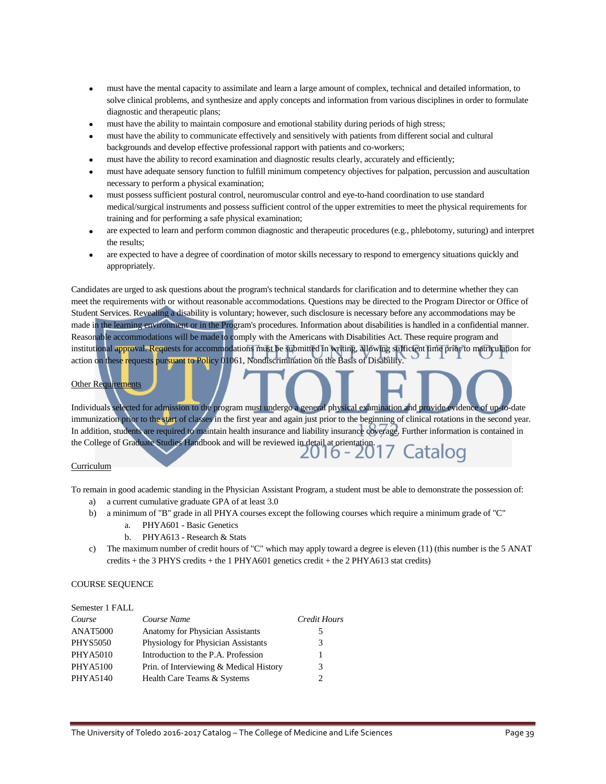- must have the mental capacity to assimilate and learn a large amount of complex, technical and detailed information, to solve clinical problems, and synthesize and apply concepts and information from various disciplines in order to formulate diagnostic and therapeutic plans;
- must have the ability to maintain composure and emotional stability during periods of high stress;
- must have the ability to communicate effectively and sensitively with patients from different social and cultural backgrounds and develop effective professional rapport with patients and co-workers;
- must have the ability to record examination and diagnostic results clearly, accurately and efficiently;
- must have adequate sensory function to fulfill minimum competency objectives for palpation, percussion and auscultation necessary to perform a physical examination;
- must possess sufficient postural control, neuromuscular control and eye-to-hand coordination to use standard medical/surgical instruments and possess sufficient control of the upper extremities to meet the physical requirements for training and for performing a safe physical examination;
- are expected to learn and perform common diagnostic and therapeutic procedures (e.g., phlebotomy, suturing) and interpret the results;
- are expected to have a degree of coordination of motor skills necessary to respond to emergency situations quickly and appropriately.

Candidates are urged to ask questions about the program's technical standards for clarification and to determine whether they can meet the requirements with or without reasonable accommodations. Questions may be directed to the Program Director or Office of Student Services. Revealing a disability is voluntary; however, such disclosure is necessary before any accommodations may be made in the learning environment or in the Program's procedures. Information about disabilities is handled in a confidential manner. Reasonable accommodations will be made to comply with the Americans with Disabilities Act. These require program and institutional approval. Requests for accommodations must be submitted in writing, allowing sufficient time prior to matriculation for action on these requests pursuant to Policy 01061, Nondiscrimination on the Basis of Disability.

#### Other Requirements

Individuals selected for admission to the program must undergo a general physical examination and provide evidence of up-to-date immunization prior to the start of classes in the first year and again just prior to the beginning of clinical rotations in the second year. In addition, students are required to maintain health insurance and liability insurance coverage. Further information is contained in the College of Graduate Studies Handbook and will be reviewed in detail at orientation. Catalog

#### Curriculum

To remain in good academic standing in the Physician Assistant Program, a student must be able to demonstrate the possession of:

- a) a current cumulative graduate GPA of at least 3.0
- b) a minimum of "B" grade in all PHYA courses except the following courses which require a minimum grade of "C"
	- a. PHYA601 Basic Genetics
	- b. PHYA613 Research & Stats
- c) The maximum number of credit hours of "C" which may apply toward a degree is eleven  $(11)$  (this number is the 5 ANAT credits + the 3 PHYS credits + the 1 PHYA601 genetics credit + the 2 PHYA613 stat credits)

#### COURSE SEQUENCE

| Semester 1 FALL |                                         |                               |
|-----------------|-----------------------------------------|-------------------------------|
| Course          | Course Name                             | Credit Hours                  |
| <b>ANAT5000</b> | <b>Anatomy for Physician Assistants</b> | 5                             |
| <b>PHYS5050</b> | Physiology for Physician Assistants     | 3                             |
| <b>PHYA5010</b> | Introduction to the P.A. Profession     |                               |
| <b>PHYA5100</b> | Prin. of Interviewing & Medical History | 3                             |
| PHYA5140        | Health Care Teams & Systems             | $\mathfrak{D}_{\mathfrak{p}}$ |
|                 |                                         |                               |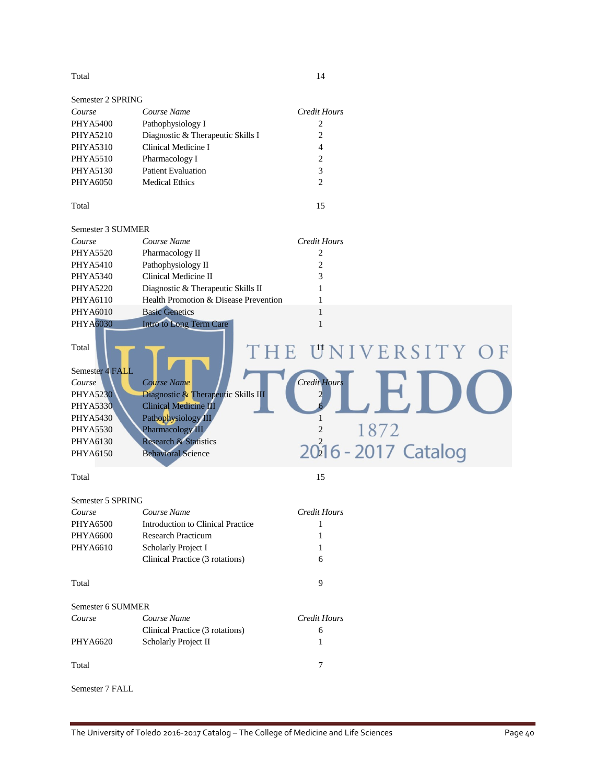Total 14

| Semester 2 SPRING                                               |                                                                                                    |                               |
|-----------------------------------------------------------------|----------------------------------------------------------------------------------------------------|-------------------------------|
| Course                                                          | Course Name                                                                                        | Credit Hours                  |
| <b>PHYA5400</b>                                                 | Pathophysiology I                                                                                  | 2                             |
| <b>PHYA5210</b>                                                 | Diagnostic & Therapeutic Skills I                                                                  | $\overline{2}$                |
| <b>PHYA5310</b>                                                 | Clinical Medicine I                                                                                | 4                             |
| <b>PHYA5510</b>                                                 | Pharmacology I                                                                                     | $\overline{c}$                |
| <b>PHYA5130</b>                                                 | <b>Patient Evaluation</b>                                                                          | 3                             |
| <b>PHYA6050</b>                                                 | <b>Medical Ethics</b>                                                                              | $\overline{c}$                |
| Total                                                           |                                                                                                    | 15                            |
| Semester 3 SUMMER                                               |                                                                                                    |                               |
| Course                                                          | Course Name                                                                                        | <b>Credit Hours</b>           |
| <b>PHYA5520</b>                                                 | Pharmacology II                                                                                    | 2                             |
| <b>PHYA5410</b>                                                 | Pathophysiology II                                                                                 | 2                             |
| <b>PHYA5340</b>                                                 | Clinical Medicine II                                                                               | 3                             |
| <b>PHYA5220</b>                                                 | Diagnostic & Therapeutic Skills II                                                                 | 1                             |
| PHYA6110                                                        | Health Promotion & Disease Prevention                                                              | $\mathbf{1}$                  |
| PHYA6010                                                        | <b>Basic Genetics</b>                                                                              | $\mathbf{1}$                  |
| <b>PHYA6030</b>                                                 | Intro to Long Term Care                                                                            | $\mathbf{1}$                  |
| Total<br>Semester 4 FALL                                        |                                                                                                    | THE UNIVERSITY OF             |
| Course<br><b>PHYA5230</b><br><b>PHYA5330</b><br><b>PHYA5430</b> | Course Name<br>Diagnostic & Therapeutic Skills III<br>Clinical Medicine III<br>Pathophysiology III | <b>Credit Hours</b><br>2<br>1 |
| <b>PHYA5530</b>                                                 | Pharmacology III                                                                                   | 1872<br>$\overline{c}$        |
| PHYA6130                                                        | <b>Research &amp; Statistics</b>                                                                   |                               |
| PHYA6150                                                        | <b>Behavioral Science</b>                                                                          | 2016 - 2017 Catalog           |
| Total                                                           |                                                                                                    | 15                            |
|                                                                 |                                                                                                    |                               |
| Semester 5 SPRING                                               |                                                                                                    |                               |
| Course                                                          | Course Name                                                                                        | Credit Hours                  |
| <b>PHYA6500</b>                                                 | Introduction to Clinical Practice                                                                  | 1                             |
| <b>PHYA6600</b>                                                 | <b>Research Practicum</b>                                                                          | 1                             |
| PHYA6610                                                        | Scholarly Project I                                                                                | $\mathbf{1}$                  |
|                                                                 | Clinical Practice (3 rotations)                                                                    | 6                             |
| Total                                                           |                                                                                                    | 9                             |
| Semester 6 SUMMER                                               |                                                                                                    |                               |
| Course                                                          | Course Name                                                                                        | Credit Hours                  |
|                                                                 | Clinical Practice (3 rotations)                                                                    | 6                             |
| PHYA6620                                                        | Scholarly Project II                                                                               | 1                             |
| Total                                                           |                                                                                                    | 7                             |
| Semester 7 FALL                                                 |                                                                                                    |                               |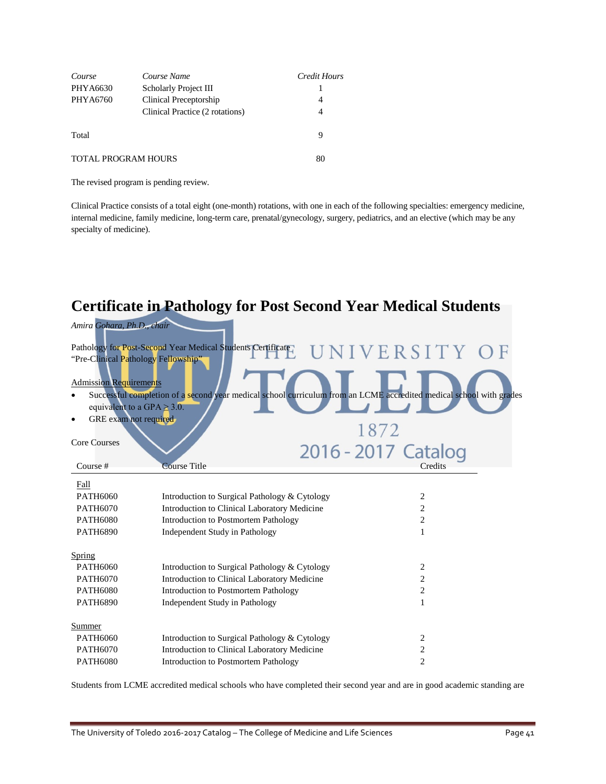| Course                     | Course Name                     | Credit Hours |
|----------------------------|---------------------------------|--------------|
| PHYA6630                   | Scholarly Project III           |              |
| PHYA6760                   | Clinical Preceptorship          | 4            |
|                            | Clinical Practice (2 rotations) | 4            |
| Total                      |                                 | 9            |
| <b>TOTAL PROGRAM HOURS</b> |                                 | 80           |

The revised program is pending review.

Clinical Practice consists of a total eight (one-month) rotations, with one in each of the following specialties: emergency medicine, internal medicine, family medicine, long-term care, prenatal/gynecology, surgery, pediatrics, and an elective (which may be any specialty of medicine).

# **Certificate in Pathology for Post Second Year Medical Students**

| Amira Gohara, Ph.D., chair          |                                                                                                                     |                     |                |  |
|-------------------------------------|---------------------------------------------------------------------------------------------------------------------|---------------------|----------------|--|
|                                     | Pathology for Post-Second Year Medical Students Certificate                                                         | UNIVERSITY O        |                |  |
| "Pre-Clinical Pathology Fellowship" |                                                                                                                     |                     |                |  |
| <b>Admission Requirements</b>       | Successful completion of a second year medical school curriculum from an LCME accredited medical school with grades |                     |                |  |
| equivalent to a GPA $\geq$ 3.0.     |                                                                                                                     |                     |                |  |
| GRE exam not required               |                                                                                                                     |                     |                |  |
|                                     |                                                                                                                     | 1872                |                |  |
| <b>Core Courses</b>                 |                                                                                                                     |                     |                |  |
|                                     |                                                                                                                     | 2016 - 2017 Catalog |                |  |
| Course#                             | <b>Course Title</b>                                                                                                 |                     | Credits        |  |
| Fall                                |                                                                                                                     |                     |                |  |
| PATH6060                            | Introduction to Surgical Pathology & Cytology                                                                       |                     | 2              |  |
| <b>PATH6070</b>                     | Introduction to Clinical Laboratory Medicine                                                                        |                     | $\overline{c}$ |  |
| <b>PATH6080</b>                     | Introduction to Postmortem Pathology                                                                                |                     | 2              |  |
| <b>PATH6890</b>                     | <b>Independent Study in Pathology</b>                                                                               |                     | 1              |  |
|                                     |                                                                                                                     |                     |                |  |
| Spring                              |                                                                                                                     |                     |                |  |
| PATH6060                            | Introduction to Surgical Pathology & Cytology                                                                       |                     | 2              |  |
| <b>PATH6070</b>                     | Introduction to Clinical Laboratory Medicine                                                                        |                     | 2              |  |
| <b>PATH6080</b>                     | <b>Introduction to Postmortem Pathology</b>                                                                         |                     | $\overline{c}$ |  |
| <b>PATH6890</b>                     | Independent Study in Pathology                                                                                      |                     | 1              |  |
|                                     |                                                                                                                     |                     |                |  |
| Summer                              |                                                                                                                     |                     |                |  |
| PATH6060                            | Introduction to Surgical Pathology & Cytology                                                                       |                     | 2              |  |
| <b>PATH6070</b>                     | Introduction to Clinical Laboratory Medicine                                                                        |                     | $\overline{c}$ |  |
| <b>PATH6080</b>                     | <b>Introduction to Postmortem Pathology</b>                                                                         |                     | 2              |  |
|                                     |                                                                                                                     |                     |                |  |

Students from LCME accredited medical schools who have completed their second year and are in good academic standing are